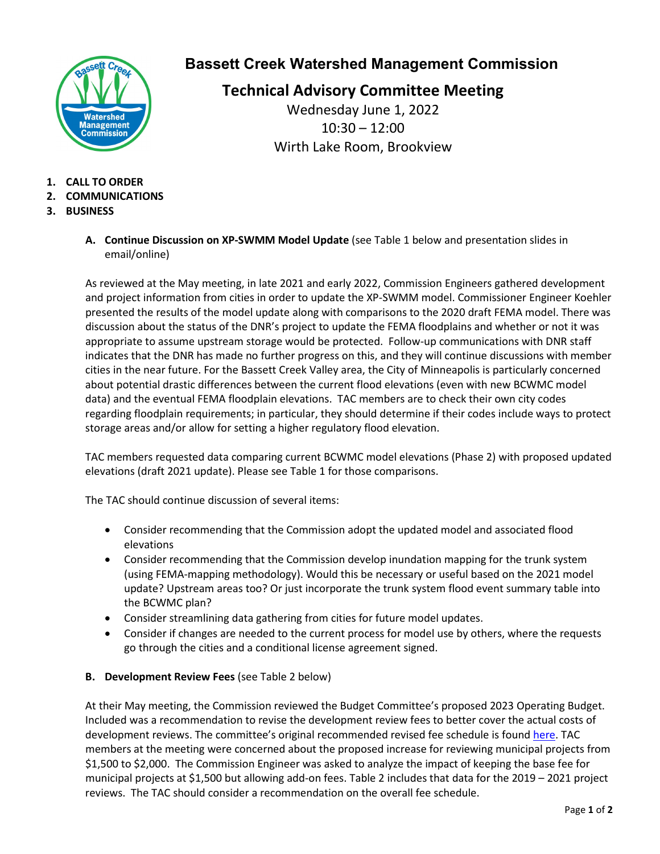

### **Bassett Creek Watershed Management Commission**

**Technical Advisory Committee Meeting** Wednesday June 1, 2022 10:30 – 12:00

Wirth Lake Room, Brookview

- **1. CALL TO ORDER**
- **2. COMMUNICATIONS**
- **3. BUSINESS**
	- **A. Continue Discussion on XP-SWMM Model Update** (see Table 1 below and presentation slides in email/online)

As reviewed at the May meeting, in late 2021 and early 2022, Commission Engineers gathered development and project information from cities in order to update the XP-SWMM model. Commissioner Engineer Koehler presented the results of the model update along with comparisons to the 2020 draft FEMA model. There was discussion about the status of the DNR's project to update the FEMA floodplains and whether or not it was appropriate to assume upstream storage would be protected. Follow-up communications with DNR staff indicates that the DNR has made no further progress on this, and they will continue discussions with member cities in the near future. For the Bassett Creek Valley area, the City of Minneapolis is particularly concerned about potential drastic differences between the current flood elevations (even with new BCWMC model data) and the eventual FEMA floodplain elevations. TAC members are to check their own city codes regarding floodplain requirements; in particular, they should determine if their codes include ways to protect storage areas and/or allow for setting a higher regulatory flood elevation.

TAC members requested data comparing current BCWMC model elevations (Phase 2) with proposed updated elevations (draft 2021 update). Please see Table 1 for those comparisons.

The TAC should continue discussion of several items:

- Consider recommending that the Commission adopt the updated model and associated flood elevations
- Consider recommending that the Commission develop inundation mapping for the trunk system (using FEMA-mapping methodology). Would this be necessary or useful based on the 2021 model update? Upstream areas too? Or just incorporate the trunk system flood event summary table into the BCWMC plan?
- Consider streamlining data gathering from cities for future model updates.
- Consider if changes are needed to the current process for model use by others, where the requests go through the cities and a conditional license agreement signed.
- **B. Development Review Fees** (see Table 2 below)

At their May meeting, the Commission reviewed the Budget Committee's proposed 2023 Operating Budget. Included was a recommendation to revise the development review fees to better cover the actual costs of development reviews. The committee's original recommended revised fee schedule is foun[d here.](https://www.bassettcreekwmo.org/application/files/2316/5240/2295/Item_5B_Review_Fee_Schedule_2022_Recommendation.pdf) TAC members at the meeting were concerned about the proposed increase for reviewing municipal projects from \$1,500 to \$2,000. The Commission Engineer was asked to analyze the impact of keeping the base fee for municipal projects at \$1,500 but allowing add-on fees. Table 2 includes that data for the 2019 – 2021 project reviews. The TAC should consider a recommendation on the overall fee schedule.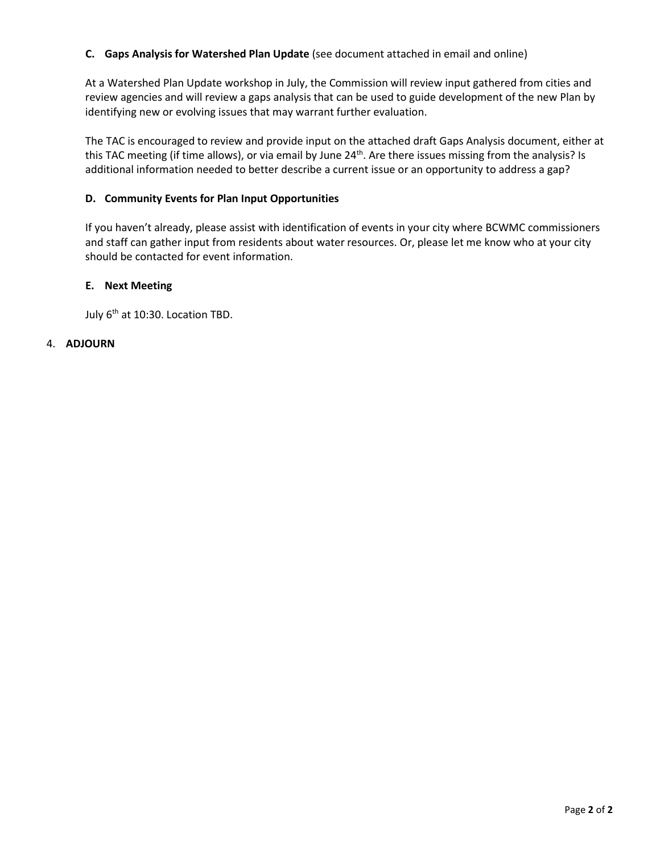#### **C. Gaps Analysis for Watershed Plan Update** (see document attached in email and online)

At a Watershed Plan Update workshop in July, the Commission will review input gathered from cities and review agencies and will review a gaps analysis that can be used to guide development of the new Plan by identifying new or evolving issues that may warrant further evaluation.

The TAC is encouraged to review and provide input on the attached draft Gaps Analysis document, either at this TAC meeting (if time allows), or via email by June 24<sup>th</sup>. Are there issues missing from the analysis? Is additional information needed to better describe a current issue or an opportunity to address a gap?

#### **D. Community Events for Plan Input Opportunities**

If you haven't already, please assist with identification of events in your city where BCWMC commissioners and staff can gather input from residents about water resources. Or, please let me know who at your city should be contacted for event information.

#### **E. Next Meeting**

July 6<sup>th</sup> at 10:30. Location TBD.

#### 4. **ADJOURN**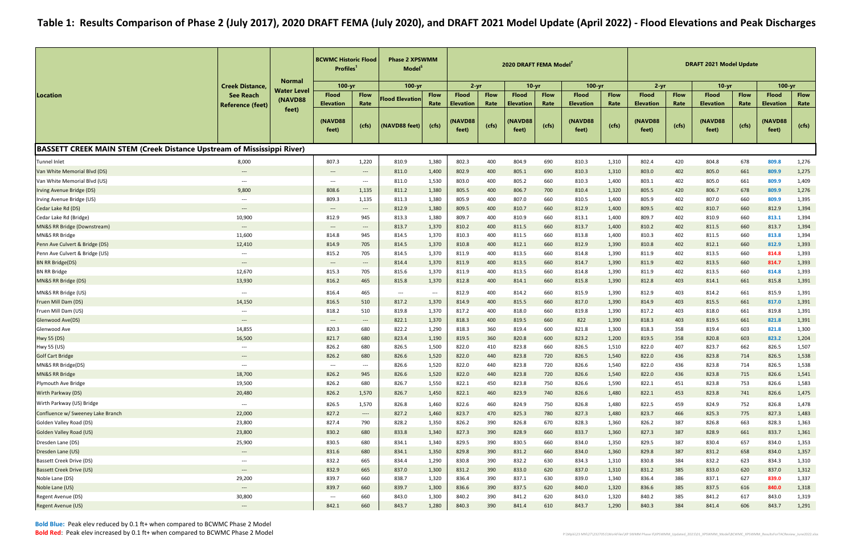|                                                                        |                                                               | <b>Normal</b>                 |                                          | <b>BCWMC Historic Flood</b><br><b>Profiles</b><br>$100 - yr$  |                          | <b>Phase 2 XPSWMM</b><br>Model <sup>5</sup> |                                      | 2020 DRAFT FEMA Model <sup>7</sup><br>$10 - yr$ |                                            | $100 - yr$    |                                      |               |                                      | <b>DRAFT 2021 Model Update</b> |                                      |               |                                      |               |
|------------------------------------------------------------------------|---------------------------------------------------------------|-------------------------------|------------------------------------------|---------------------------------------------------------------|--------------------------|---------------------------------------------|--------------------------------------|-------------------------------------------------|--------------------------------------------|---------------|--------------------------------------|---------------|--------------------------------------|--------------------------------|--------------------------------------|---------------|--------------------------------------|---------------|
|                                                                        | <b>Creek Distance,</b>                                        |                               |                                          |                                                               | 100-yr                   |                                             | $2 - yr$                             |                                                 |                                            |               |                                      |               | $2 - yr$                             |                                | $10-yr$                              |               | $100 - yr$                           |               |
| Location                                                               | <b>See Reach</b>                                              | <b>Water Level</b><br>(NAVD88 | <b>Flood</b>                             | <b>Flow</b>                                                   | <b>Flood Elevation</b>   | <b>Flow</b>                                 | <b>Flood</b>                         | <b>Flow</b>                                     | <b>Flood</b>                               | <b>Flow</b>   | <b>Flood</b>                         | <b>Flow</b>   | <b>Flood</b>                         | <b>Flow</b>                    | <b>Flood</b>                         | <b>Flow</b>   | <b>Flood</b>                         | <b>Flow</b>   |
|                                                                        | <b>Reference (feet)</b>                                       | feet)                         | <b>Elevation</b><br>(NAVD88<br>feet)     | Rate<br>(cfs)                                                 | (NAVD88 feet)            | Rate<br>(cfs)                               | <b>Elevation</b><br>(NAVD88<br>feet) | Rate<br>(cfs)                                   | <b>Elevation</b><br><b>NAVD88</b><br>feet) | Rate<br>(cfs) | <b>Elevation</b><br>(NAVD88<br>feet) | Rate<br>(cts) | <b>Elevation</b><br>(NAVD88<br>feet) | Rate<br>(cfs)                  | <b>Elevation</b><br>(NAVD88<br>feet) | Rate<br>(cfs) | <b>Elevation</b><br>(NAVD88<br>feet) | Rate<br>(cfs) |
| BASSETT CREEK MAIN STEM (Creek Distance Upstream of Mississippi River) |                                                               |                               |                                          |                                                               |                          |                                             |                                      |                                                 |                                            |               |                                      |               |                                      |                                |                                      |               |                                      |               |
| <b>Tunnel Inlet</b>                                                    | 8,000                                                         |                               | 807.3                                    | 1,220                                                         | 810.9                    | 1,380                                       | 802.3                                | 400                                             | 804.9                                      | 690           | 810.3                                | 1,310         | 802.4                                | 420                            | 804.8                                | 678           | 809.8                                | 1,276         |
| Van White Memorial Blvd (DS)                                           | $\hspace{0.05cm} \dashrightarrow$                             |                               | $\hspace{0.05cm} \dashrightarrow$        | $\hspace{0.1em}-\hspace{0.1em}-\hspace{0.1em}-\hspace{0.1em}$ | 811.0                    | 1,400                                       | 802.9                                | 400                                             | 805.1                                      | 690           | 810.3                                | 1,310         | 803.0                                | 402                            | 805.0                                | 661           | 809.9                                | 1,275         |
| Van White Memorial Blvd (US)                                           | $\hspace{0.05cm} \cdots$                                      |                               | $\hspace{0.05cm} \ldots \hspace{0.05cm}$ | $\hspace{0.05cm}---\hspace{0.05cm}$                           | 811.0                    | 1,530                                       | 803.0                                | 400                                             | 805.2                                      | 660           | 810.3                                | 1,400         | 803.1                                | 402                            | 805.0                                | 661           | 809.9                                | 1,409         |
| Irving Avenue Bridge (DS)                                              | 9,800                                                         |                               | 808.6                                    | 1,135                                                         | 811.2                    | 1,380                                       | 805.5                                | 400                                             | 806.7                                      | 700           | 810.4                                | 1,320         | 805.5                                | 420                            | 806.7                                | 678           | 809.9                                | 1,276         |
| Irving Avenue Bridge (US)                                              | $---$                                                         |                               | 809.3                                    | 1,135                                                         | 811.3                    | 1,380                                       | 805.9                                | 400                                             | 807.0                                      | 660           | 810.5                                | 1,400         | 805.9                                | 402                            | 807.0                                | 660           | 809.9                                | 1,395         |
| Cedar Lake Rd (DS)                                                     | $\qquad \qquad - -$                                           |                               | $\hspace{0.05cm} \dashrightarrow$        | $\hspace{0.05cm} \ldots$                                      | 812.9                    | 1,380                                       | 809.5                                | 400                                             | 810.7                                      | 660           | 812.9                                | 1,400         | 809.5                                | 402                            | 810.7                                | 660           | 812.9                                | 1,394         |
| Cedar Lake Rd (Bridge)                                                 | 10,900                                                        |                               | 812.9                                    | 945                                                           | 813.3                    | 1,380                                       | 809.7                                | 400                                             | 810.9                                      | 660           | 813.1                                | 1,400         | 809.7                                | 402                            | 810.9                                | 660           | 813.1                                | 1,394         |
| MN&S RR Bridge (Downstream)                                            | $---$                                                         |                               | $\qquad \qquad \textbf{---}$             | $---$                                                         | 813.7                    | 1,370                                       | 810.2                                | 400                                             | 811.5                                      | 660           | 813.7                                | 1,400         | 810.2                                | 402                            | 811.5                                | 660           | 813.7                                | 1,394         |
| MN&S RR Bridge                                                         | 11,600                                                        |                               | 814.8                                    | 945                                                           | 814.5                    | 1,370                                       | 810.3                                | 400                                             | 811.5                                      | 660           | 813.8                                | 1,400         | 810.3                                | 402                            | 811.5                                | 660           | 813.8                                | 1,394         |
| Penn Ave Culvert & Bridge (DS)                                         | 12,410                                                        |                               | 814.9                                    | 705                                                           | 814.5                    | 1,370                                       | 810.8                                | 400                                             | 812.1                                      | 660           | 812.9                                | 1,390         | 810.8                                | 402                            | 812.1                                | 660           | 812.9                                | 1,393         |
| Penn Ave Culvert & Bridge (US)                                         | $\hspace{0.05cm} \cdots$                                      |                               | 815.2                                    | 705                                                           | 814.5                    | 1,370                                       | 811.9                                | 400                                             | 813.5                                      | 660           | 814.8                                | 1,390         | 811.9                                | 402                            | 813.5                                | 660           | 814.8                                | 1,393         |
| <b>BN RR Bridge(DS)</b>                                                | $\hspace{0.05cm} \ldots$                                      |                               | $\hspace{0.05cm} \dashrightarrow$        | $\hspace{0.05cm} \ldots$                                      | 814.4                    | 1,370                                       | 811.9                                | 400                                             | 813.5                                      | 660           | 814.7                                | 1,390         | 811.9                                | 402                            | 813.5                                | 660           | 814.7                                | 1,393         |
| <b>BN RR Bridge</b>                                                    | 12,670                                                        |                               | 815.3                                    | 705                                                           | 815.6                    | 1,370                                       | 811.9                                | 400                                             | 813.5                                      | 660           | 814.8                                | 1,390         | 811.9                                | 402                            | 813.5                                | 660           | 814.8                                | 1,393         |
| MN&S RR Bridge (DS)                                                    | 13,930                                                        |                               | 816.2                                    | 465                                                           | 815.8                    | 1,370                                       | 812.8                                | 400                                             | 814.1                                      | 660           | 815.8                                | 1,390         | 812.8                                | 403                            | 814.1                                | 661           | 815.8                                | 1,391         |
| MN&S RR Bridge (US)                                                    | $\hspace{0.05cm} \cdots$                                      |                               | 816.4                                    | 465                                                           | $\hspace{0.05cm} \ldots$ | $\hspace{0.05cm} \ldots \hspace{0.05cm}$    | 812.9                                | 400                                             | 814.2                                      | 660           | 815.9                                | 1,390         | 812.9                                | 403                            | 814.2                                | 661           | 815.9                                | 1,391         |
| Fruen Mill Dam (DS)                                                    | 14,150                                                        |                               | 816.5                                    | 510                                                           | 817.2                    | 1,370                                       | 814.9                                | 400                                             | 815.5                                      | 660           | 817.0                                | 1,390         | 814.9                                | 403                            | 815.5                                | 661           | 817.0                                | 1,391         |
| Fruen Mill Dam (US)                                                    | $\hspace{0.05cm} \ldots \hspace{0.05cm}$                      |                               | 818.2                                    | 510                                                           | 819.8                    | 1,370                                       | 817.2                                | 400                                             | 818.0                                      | 660           | 819.8                                | 1,390         | 817.2                                | 403                            | 818.0                                | 661           | 819.8                                | 1,391         |
| Glenwood Ave(DS)                                                       | $---$                                                         |                               | $---$                                    | $\hspace{0.05cm} \cdots$                                      | 822.1                    | 1,370                                       | 818.3                                | 400                                             | 819.5                                      | 660           | 822                                  | 1,390         | 818.3                                | 403                            | 819.5                                | 661           | 821.8                                | 1,391         |
| Glenwood Ave                                                           | 14,855                                                        |                               | 820.3                                    | 680                                                           | 822.2                    | 1,290                                       | 818.3                                | 360                                             | 819.4                                      | 600           | 821.8                                | 1,300         | 818.3                                | 358                            | 819.4                                | 603           | 821.8                                | 1,300         |
| Hwy 55 (DS)                                                            | 16,500                                                        |                               | 821.7                                    | 680                                                           | 823.4                    | 1,190                                       | 819.5                                | 360                                             | 820.8                                      | 600           | 823.2                                | 1,200         | 819.5                                | 358                            | 820.8                                | 603           | 823.2                                | 1,204         |
| Hwy 55 (US)                                                            | $\hspace{0.05cm} \ldots$                                      |                               | 826.2                                    | 680                                                           | 826.5                    | 1,500                                       | 822.0                                | 410                                             | 823.8                                      | 660           | 826.5                                | 1,510         | 822.0                                | 407                            | 823.7                                | 662           | 826.5                                | 1,507         |
| <b>Golf Cart Bridge</b>                                                | $\hspace{0.05cm} \ldots$                                      |                               | 826.2                                    | 680                                                           | 826.6                    | 1,520                                       | 822.0                                | 440                                             | 823.8                                      | 720           | 826.5                                | 1,540         | 822.0                                | 436                            | 823.8                                | 714           | 826.5                                | 1,538         |
| MN&S RR Bridge(DS)                                                     | $\hspace{0.05cm} \dashrightarrow$                             |                               | $\hspace{0.05cm} \ldots \hspace{0.05cm}$ | $\hspace{0.05cm} \textbf{---}$                                | 826.6                    | 1,520                                       | 822.0                                | 440                                             | 823.8                                      | 720           | 826.6                                | 1,540         | 822.0                                | 436                            | 823.8                                | 714           | 826.5                                | 1,538         |
| MN&S RR Bridge                                                         | 18,700                                                        |                               | 826.2                                    | 945                                                           | 826.6                    | 1,520                                       | 822.0                                | 440                                             | 823.8                                      | 720           | 826.6                                | 1,540         | 822.0                                | 436                            | 823.8                                | 715           | 826.6                                | 1,541         |
| Plymouth Ave Bridge                                                    | 19,500                                                        |                               | 826.2                                    | 680                                                           | 826.7                    | 1,550                                       | 822.1                                | 450                                             | 823.8                                      | 750           | 826.6                                | 1,590         | 822.1                                | 451                            | 823.8                                | 753           | 826.6                                | 1,583         |
| Wirth Parkway (DS)                                                     | 20,480                                                        |                               | 826.2                                    | 1,570                                                         | 826.7                    | 1,450                                       | 822.1                                | 460                                             | 823.9                                      | 740           | 826.6                                | 1,480         | 822.1                                | 453                            | 823.8                                | 741           | 826.6                                | 1,475         |
| Wirth Parkway (US) Bridge                                              | $---$                                                         |                               | 826.5                                    | 1,570                                                         | 826.8                    | 1,460                                       | 822.6                                | 460                                             | 824.9                                      | 750           | 826.8                                | 1,480         | 822.5                                | 459                            | 824.9                                | 752           | 826.8                                | 1,478         |
| Confluence w/ Sweeney Lake Branch                                      | 22,000                                                        |                               | 827.2                                    | $\hspace{0.05cm} \ldots \hspace{0.05cm}$                      | 827.2                    | 1,460                                       | 823.7                                | 470                                             | 825.3                                      | 780           | 827.3                                | 1,480         | 823.7                                | 466                            | 825.3                                | 775           | 827.3                                | 1,483         |
| Golden Valley Road (DS)                                                | 23,800                                                        |                               | 827.4                                    | 790                                                           | 828.2                    | 1,350                                       | 826.2                                | 390                                             | 826.8                                      | 670           | 828.3                                | 1,360         | 826.2                                | 387                            | 826.8                                | 663           | 828.3                                | 1,363         |
| <b>Golden Valley Road (US)</b>                                         | 23,800                                                        |                               | 830.2                                    | 680                                                           | 833.8                    | 1,340                                       | 827.3                                | 390                                             | 828.9                                      | 660           | 833.7                                | 1,360         | 827.3                                | 387                            | 828.9                                | 661           | 833.7                                | 1,361         |
| Dresden Lane (DS)                                                      | 25,900                                                        |                               | 830.5                                    | 680                                                           | 834.1                    | 1,340                                       | 829.5                                | 390                                             | 830.5                                      | 660           | 834.0                                | 1,350         | 829.5                                | 387                            | 830.4                                | 657           | 834.0                                | 1,353         |
| Dresden Lane (US)                                                      | $\hspace{0.05cm} \dashrightarrow$                             |                               | 831.6                                    | 680                                                           | 834.1                    | 1,350                                       | 829.8                                | 390                                             | 831.2                                      | 660           | 834.0                                | 1,360         | 829.8                                | 387                            | 831.2                                | 658           | 834.0                                | 1,357         |
| <b>Bassett Creek Drive (DS)</b>                                        | $\hspace{0.05cm} \dashrightarrow$                             |                               | 832.2                                    | 665                                                           | 834.4                    | 1,290                                       | 830.8                                | 390                                             | 832.2                                      | 630           | 834.3                                | 1,310         | 830.8                                | 384                            | 832.2                                | 623           | 834.3                                | 1,310         |
| <b>Bassett Creek Drive (US)</b>                                        | $\hspace{0.1em}-\hspace{0.1em}-\hspace{0.1em}-\hspace{0.1em}$ |                               | 832.9                                    | 665                                                           | 837.0                    | 1,300                                       | 831.2                                | 390                                             | 833.0                                      | 620           | 837.0                                | 1,310         | 831.2                                | 385                            | 833.0                                | 620           | 837.0                                | 1,312         |
| Noble Lane (DS)                                                        | 29,200                                                        |                               | 839.7                                    | 660                                                           | 838.7                    | 1,320                                       | 836.4                                | 390                                             | 837.1                                      | 630           | 839.0                                | 1,340         | 836.4                                | 386                            | 837.1                                | 627           | 839.0                                | 1,337         |
| Noble Lane (US)                                                        | $\hspace{0.05cm} \dashrightarrow$                             |                               | 839.7                                    | 660                                                           | 839.7                    | 1,300                                       | 836.6                                | 390                                             | 837.5                                      | 620           | 840.0                                | 1,320         | 836.6                                | 385                            | 837.5                                | 616           | 840.0                                | 1,318         |
| Regent Avenue (DS)                                                     | 30,800                                                        |                               | $\hspace{0.05cm} \ldots \hspace{0.05cm}$ | 660                                                           | 843.0                    | 1,300                                       | 840.2                                | 390                                             | 841.2                                      | 620           | 843.0                                | 1,320         | 840.2                                | 385                            | 841.2                                | 617           | 843.0                                | 1,319         |
| Regent Avenue (US)                                                     | $\hspace{0.05cm} \dashrightarrow$                             |                               | 842.1                                    | 660                                                           | 843.7                    | 1,280                                       | 840.3                                | 390                                             | 841.4                                      | 610           | 843.7                                | 1,290         | 840.3                                | 384                            | 841.4                                | 606           | 843.7                                | 1,291         |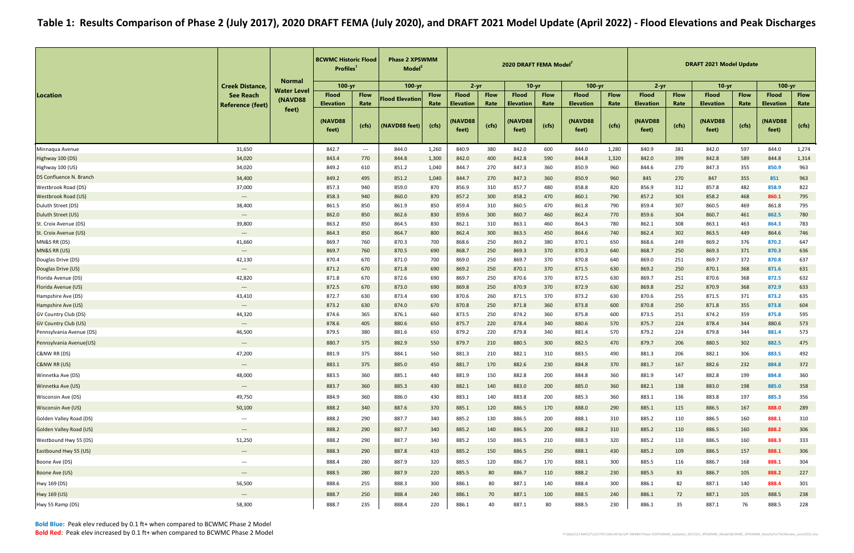|                                            |                                                    |                               | <b>BCWMC Historic Flood</b><br>Profiles <sup>1</sup> |                                   | <b>Phase 2 XPSWMM</b><br>Model <sup>5</sup> |               | 2020 DRAFT FEMA Model<br>$2 - yr$<br>$10 - yr$ |               |                                      |               |                                      |               | $2 - yr$                                     |               | <b>DRAFT 2021 Model Update</b>       |               |                                              |               |
|--------------------------------------------|----------------------------------------------------|-------------------------------|------------------------------------------------------|-----------------------------------|---------------------------------------------|---------------|------------------------------------------------|---------------|--------------------------------------|---------------|--------------------------------------|---------------|----------------------------------------------|---------------|--------------------------------------|---------------|----------------------------------------------|---------------|
|                                            | <b>Creek Distance</b>                              | <b>Normal</b>                 | $100 - yr$                                           |                                   | 100-yr                                      |               |                                                |               |                                      |               | $100 - yr$                           |               |                                              |               | $10-yr$                              |               | $100 - yr$                                   |               |
| Location                                   | <b>See Reach</b>                                   | <b>Water Level</b><br>(NAVD88 | <b>Flood</b>                                         | <b>Flow</b>                       | <b>Flood Elevation</b>                      | <b>Flow</b>   | <b>Flood</b>                                   | <b>Flow</b>   | <b>Flood</b>                         | <b>Flow</b>   | <b>Flood</b>                         | <b>Flow</b>   | <b>Flood</b>                                 | <b>Flow</b>   | <b>Flood</b>                         | <b>Flow</b>   | <b>Flood</b>                                 | <b>Flow</b>   |
|                                            | <b>Reference (feet)</b>                            | feet)                         | <b>Elevation</b><br>(NAVD88<br>feet)                 | Rate<br>(cfs)                     | (NAVD88 feet)                               | Rate<br>(cfs) | <b>Elevation</b><br>(NAVD88<br>feet)           | Rate<br>(cfs) | <b>Elevation</b><br>(NAVD88<br>feet) | Rate<br>(cfs) | <b>Elevation</b><br>(NAVD88<br>feet) | Rate<br>(cts) | <b>Elevation</b><br><b>(NAVD88)</b><br>feet) | Rate<br>(cfs) | <b>Elevation</b><br>(NAVD88<br>feet) | Rate<br>(cfs) | <b>Elevation</b><br><b>(NAVD88)</b><br>feet) | Rate<br>(cfs) |
| Minnaqua Avenue                            | 31,650                                             |                               | 842.7                                                | $\hspace{0.05cm} \dashrightarrow$ | 844.0                                       | 1,260         | 840.9                                          | 380           | 842.0                                | 600           | 844.0                                | 1,280         | 840.9                                        | 381           | 842.0                                | 597           | 844.0                                        | 1,274         |
| Highway 100 (DS)                           | 34,020                                             |                               | 843.4                                                | 770                               | 844.8                                       | 1,300         | 842.0                                          | 400           | 842.8                                | 590           | 844.8                                | 1,320         | 842.0                                        | 399           | 842.8                                | 589           | 844.8                                        | 1,314         |
| Highway 100 (US)                           | 34,020                                             |                               | 849.2                                                | 610                               | 851.2                                       | 1,040         | 844.7                                          | 270           | 847.3                                | 360           | 850.9                                | 960           | 844.6                                        | 270           | 847.3                                | 355           | 850.9                                        | 963           |
| DS Confluence N. Branch                    | 34,400                                             |                               | 849.2                                                | 495                               | 851.2                                       | 1,040         | 844.7                                          | 270           | 847.3                                | 360           | 850.9                                | 960           | 845                                          | 270           | 847                                  | 355           | 851                                          | 963           |
| Westbrook Road (DS)                        | 37,000                                             |                               | 857.3                                                | 940                               | 859.0                                       | 870           | 856.9                                          | 310           | 857.7                                | 480           | 858.8                                | 820           | 856.9                                        | 312           | 857.8                                | 482           | 858.9                                        | 822           |
| <b>Westbrook Road (US)</b>                 | $\hspace{0.05cm} \dashrightarrow$                  |                               | 858.3                                                | 940                               | 860.0                                       | 870           | 857.2                                          | 300           | 858.2                                | 470           | 860.1                                | 790           | 857.2                                        | 303           | 858.2                                | 468           | 860.1                                        | 795           |
| Duluth Street (DS)                         | 38,400                                             |                               | 861.5                                                | 850                               | 861.9                                       | 850           | 859.4                                          | 310           | 860.5                                | 470           | 861.8                                | 790           | 859.4                                        | 307           | 860.5                                | 469           | 861.8                                        | 795           |
| Duluth Street (US)                         | $\qquad \qquad - -$                                |                               | 862.0                                                | 850                               | 862.6                                       | 830           | 859.6                                          | 300           | 860.7                                | 460           | 862.4                                | 770           | 859.6                                        | 304           | 860.7                                | 461           | 862.5                                        | 780           |
| St. Croix Avenue (DS)                      | 39,800                                             |                               | 863.2                                                | 850                               | 864.5                                       | 830           | 862.1                                          | 310           | 863.1                                | 460           | 864.3                                | 780           | 862.1                                        | 308           | 863.1                                | 463           | 864.3                                        | 783           |
| St. Croix Avenue (US)                      | $---$                                              |                               | 864.3                                                | 850                               | 864.7                                       | 800           | 862.4                                          | 300           | 863.5                                | 450           | 864.6                                | 740           | 862.4                                        | 302           | 863.5                                | 449           | 864.6                                        | 746           |
| MN&S RR (DS)                               | 41,660                                             |                               | 869.7                                                | 760                               | 870.3                                       | 700           | 868.6                                          | 250           | 869.2                                | 380           | 870.1                                | 650           | 868.6                                        | 249           | 869.2                                | 376           | 870.2                                        | 647           |
| MN&S RR (US)                               | $\hspace{0.05cm} \dashrightarrow$                  |                               | 869.7                                                | 760                               | 870.5                                       | 690           | 868.7                                          | 250           | 869.3                                | 370           | 870.3                                | 640           | 868.7                                        | 250           | 869.3                                | 371           | 870.3                                        | 636           |
| Douglas Drive (DS)                         | 42,130                                             |                               | 870.4                                                | 670                               | 871.0                                       | 700           | 869.0                                          | 250           | 869.7                                | 370           | 870.8                                | 640           | 869.0                                        | 251           | 869.7                                | 372           | 870.8                                        | 637           |
| Douglas Drive (US)                         | $\qquad \qquad \cdots$                             |                               | 871.2                                                | 670                               | 871.8                                       | 690           | 869.2                                          | 250           | 870.1                                | 370           | 871.5                                | 630           | 869.2                                        | 250           | 870.1                                | 368           | 871.6                                        | 631           |
| Florida Avenue (DS)                        | 42,820                                             |                               | 871.8                                                | 670                               | 872.6                                       | 690           | 869.7                                          | 250           | 870.6                                | 370           | 872.5                                | 630           | 869.7                                        | 251           | 870.6                                | 368           | 872.5                                        | 632           |
| Florida Avenue (US)                        | $\qquad \qquad \textbf{---}$                       |                               | 872.5                                                | 670                               | 873.0                                       | 690           | 869.8                                          | 250           | 870.9                                | 370           | 872.9                                | 630           | 869.8                                        | 252           | 870.9                                | 368           | 872.9                                        | 633           |
| Hampshire Ave (DS)                         | 43,410                                             |                               | 872.7<br>873.2                                       | 630                               | 873.4                                       | 690           | 870.6                                          | 260           | 871.5<br>871.8                       | 370           | 873.2<br>873.8                       | 630           | 870.6<br>870.8                               | 255<br>250    | 871.5                                | 371           | 873.2                                        | 635<br>604    |
| Hampshire Ave (US)<br>GV Country Club (DS) | $\hspace{0.05cm} \ldots \hspace{0.05cm}$<br>44,320 |                               | 874.6                                                | 630<br>365                        | 874.0<br>876.1                              | 670<br>660    | 870.8<br>873.5                                 | 250<br>250    | 874.2                                | 360<br>360    | 875.8                                | 600<br>600    | 873.5                                        | 251           | 871.8<br>874.2                       | 355<br>359    | 873.8<br>875.8                               | 595           |
| <b>GV Country Club (US)</b>                | $\qquad \qquad - -$                                |                               | 878.6                                                | 405                               | 880.6                                       | 650           | 875.7                                          | 220           | 878.4                                | 340           | 880.6                                | 570           | 875.7                                        | 224           | 878.4                                | 344           | 880.6                                        | 573           |
| Pennsylvania Avenue (DS)                   | 46,500                                             |                               | 879.5                                                | 380                               | 881.6                                       | 650           | 879.2                                          | 220           | 879.8                                | 340           | 881.4                                | 570           | 879.2                                        | 224           | 879.8                                | 344           | 881.4                                        | 573           |
| Pennsylvania Avenue(US)                    | $\hspace{0.05cm} \dashrightarrow$                  |                               | 880.7                                                | 375                               | 882.9                                       | 550           | 879.7                                          | 210           | 880.5                                | 300           | 882.5                                | 470           | 879.7                                        | 206           | 880.5                                | 302           | 882.5                                        | 475           |
| C&NW RR (DS)                               | 47,200                                             |                               | 881.9                                                | 375                               | 884.1                                       | 560           | 881.3                                          | 210           | 882.1                                | 310           | 883.5                                | 490           | 881.3                                        | 206           | 882.1                                | 306           | 883.5                                        | 492           |
| <b>C&amp;NW RR (US)</b>                    | $\hspace{0.05cm} \dashrightarrow$                  |                               | 883.1                                                | 375                               | 885.0                                       | 450           | 881.7                                          | 170           | 882.6                                | 230           | 884.8                                | 370           | 881.7                                        | 167           | 882.6                                | 232           | 884.8                                        | 372           |
| Winnetka Ave (DS)                          | 48,000                                             |                               | 883.5                                                | 360                               | 885.1                                       | 440           | 881.9                                          | 150           | 882.8                                | 200           | 884.8                                | 360           | 881.9                                        | 147           | 882.8                                | 199           | 884.8                                        | 360           |
| Winnetka Ave (US)                          | $\qquad \qquad - -$                                |                               | 883.7                                                | 360                               | 885.3                                       | 430           | 882.1                                          | 140           | 883.0                                | 200           | 885.0                                | 360           | 882.1                                        | 138           | 883.0                                | 198           | 885.0                                        | 358           |
| Wisconsin Ave (DS)                         | 49,750                                             |                               | 884.9                                                | 360                               | 886.0                                       | 430           | 883.1                                          | 140           | 883.8                                | 200           | 885.3                                | 360           | 883.1                                        | 136           | 883.8                                | 197           | 885.3                                        | 356           |
| <b>Wisconsin Ave (US)</b>                  | 50,100                                             |                               | 888.2                                                | 340                               | 887.6                                       | 370           | 885.1                                          | 120           | 886.5                                | 170           | 888.0                                | 290           | 885.1                                        | 115           | 886.5                                | 167           | 888.0                                        | 289           |
| Golden Valley Road (DS)                    | $\hspace{0.05cm} \cdots$                           |                               | 888.2                                                | 290                               | 887.7                                       | 340           | 885.2                                          | 130           | 886.5                                | 200           | 888.1                                | 310           | 885.2                                        | 110           | 886.5                                | 160           | 888.1                                        | 310           |
| <b>Golden Valley Road (US)</b>             | $\hspace{0.05cm} \cdots$                           |                               | 888.2                                                | 290                               | 887.7                                       | 340           | 885.2                                          | 140           | 886.5                                | 200           | 888.2                                | 310           | 885.2                                        | 110           | 886.5                                | 160           | 888.2                                        | 306           |
| Westbound Hwy 55 (DS)                      | 51,250                                             |                               | 888.2                                                | 290                               | 887.7                                       | 340           | 885.2                                          | 150           | 886.5                                | 210           | 888.3                                | 320           | 885.2                                        | 110           | 886.5                                | 160           | 888.3                                        | 333           |
| Eastbound Hwy 55 (US)                      | $\hspace{0.05cm} \dashrightarrow$                  |                               | 888.3                                                | 290                               | 887.8                                       | 410           | 885.2                                          | 150           | 886.5                                | 250           | 888.1                                | 430           | 885.2                                        | 109           | 886.5                                | 157           | 888.1                                        | 306           |
| Boone Ave (DS)                             | $\hspace{0.05cm} \ldots \hspace{0.05cm}$           |                               | 888.4                                                | 280                               | 887.9                                       | 320           | 885.5                                          | 120           | 886.7                                | 170           | 888.1                                | 300           | 885.5                                        | 116           | 886.7                                | 168           | 888.1                                        | 304           |
| Boone Ave (US)                             | $\qquad \qquad - -$                                |                               | 888.5                                                | 280                               | 887.9                                       | 220           | 885.5                                          | 80            | 886.7                                | 110           | 888.2                                | 230           | 885.5                                        | 83            | 886.7                                | 105           | 888.2                                        | 227           |
| Hwy 169 (DS)                               | 56,500                                             |                               | 888.6                                                | 255                               | 888.3                                       | 300           | 886.1                                          | 80            | 887.1                                | 140           | 888.4                                | 300           | 886.1                                        | 82            | 887.1                                | 140           | 888.4                                        | 301           |
| Hwy 169 (US)                               | $\hspace{0.05cm} \dashrightarrow$                  |                               | 888.7                                                | 250                               | 888.4                                       | 240           | 886.1                                          | 70            | 887.1                                | 100           | 888.5                                | 240           | 886.1                                        | 72            | 887.1                                | 105           | 888.5                                        | 238           |
| Hwy 55 Ramp (DS)                           | 58,300                                             |                               | 888.7                                                | 235                               | 888.4                                       | 220           | 886.1                                          | 40            | 887.1                                | 80            | 888.5                                | 230           | 886.1                                        | 35            | 887.1                                | 76            | 888.5                                        | 228           |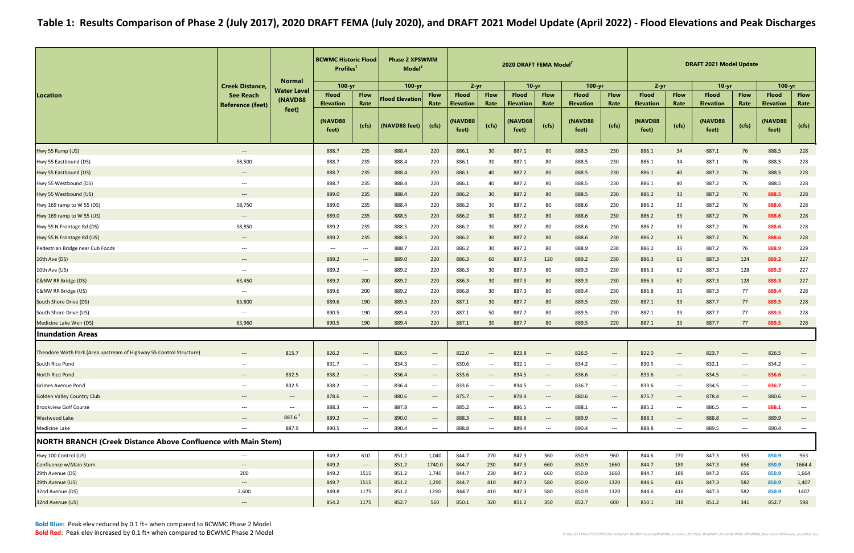|                                                                      |                                                               | <b>Normal</b>                                   | <b>BCWMC Historic Flood</b><br><b>Profiles</b> |                                          | <b>Phase 2 XPSWMM</b><br>Model <sup>5</sup> |                                                 |                                  |                                          | 2020 DRAFT FEMA Model <sup>7</sup> |                                        |                                  |                                          |                                  |                                                                   | <b>DRAFT 2021 Model Update</b>   |                                          |                                  |                                                               |
|----------------------------------------------------------------------|---------------------------------------------------------------|-------------------------------------------------|------------------------------------------------|------------------------------------------|---------------------------------------------|-------------------------------------------------|----------------------------------|------------------------------------------|------------------------------------|----------------------------------------|----------------------------------|------------------------------------------|----------------------------------|-------------------------------------------------------------------|----------------------------------|------------------------------------------|----------------------------------|---------------------------------------------------------------|
|                                                                      | <b>Creek Distance,</b>                                        | <b>Water Level</b>                              | $100 - yr$                                     |                                          | 100-yr                                      |                                                 | $2 - yr$                         |                                          | $10 - yr$                          |                                        | $100 - yr$                       |                                          | $2 - yr$                         |                                                                   | $10-yr$                          |                                          | $100 - yr$                       |                                                               |
| Location                                                             | <b>See Reach</b><br><b>Reference (feet)</b>                   | (NAVD88                                         | <b>Flood</b><br><b>Elevation</b>               | <b>Flow</b><br>Rate                      | <b>Flood Elevation</b>                      | <b>Flow</b><br>Rate                             | <b>Flood</b><br><b>Elevation</b> | <b>Flow</b><br>Rate                      | <b>Flood</b><br><b>Elevation</b>   | <b>Flow</b><br>Rate                    | <b>Flood</b><br><b>Elevation</b> | <b>Flow</b><br>Rate                      | <b>Flood</b><br><b>Elevation</b> | <b>Flow</b><br>Rate                                               | <b>Flood</b><br><b>Elevation</b> | <b>Flow</b><br>Rate                      | <b>Flood</b><br><b>Elevation</b> | <b>Flow</b><br>Rate                                           |
|                                                                      |                                                               | feet)                                           | (NAVD88<br>feet)                               | (cfs)                                    | (NAVD88 feet)                               | (cfs)                                           | (NAVD88<br>feet)                 | (cfs)                                    | <b>(NAVD88)</b><br>feet)           | (cfs)                                  | (NAVD88<br>feet)                 | (cts)                                    | (NAVD88<br>feet)                 | (cfs)                                                             | (NAVD88<br>feet)                 | (cfs)                                    | (NAVD88<br>feet)                 | (cfs)                                                         |
| Hwy 55 Ramp (US)                                                     | $\hspace{0.1em}-\hspace{0.1em}-\hspace{0.1em}-\hspace{0.1em}$ |                                                 | 888.7                                          | 235                                      | 888.4                                       | 220                                             | 886.1                            | 30                                       | 887.1                              | 80                                     | 888.5                            | 230                                      | 886.1                            | 34                                                                | 887.1                            | 76                                       | 888.5                            | 228                                                           |
| Hwy 55 Eastbound (DS)                                                | 58,500                                                        |                                                 | 888.7                                          | 235                                      | 888.4                                       | 220                                             | 886.1                            | 30                                       | 887.1                              | 80                                     | 888.5                            | 230                                      | 886.1                            | 34                                                                | 887.1                            | 76                                       | 888.5                            | 228                                                           |
| Hwy 55 Eastbound (US)                                                | $---$                                                         |                                                 | 888.7                                          | 235                                      | 888.4                                       | 220                                             | 886.1                            | 40                                       | 887.2                              | 80                                     | 888.5                            | 230                                      | 886.1                            | 40                                                                | 887.2                            | 76                                       | 888.5                            | 228                                                           |
| Hwy 55 Westbound (DS)                                                | $\hspace{0.05cm} \ldots$                                      |                                                 | 888.7                                          | 235                                      | 888.4                                       | 220                                             | 886.1                            | 40                                       | 887.2                              | 80                                     | 888.5                            | 230                                      | 886.1                            | 40                                                                | 887.2                            | 76                                       | 888.5                            | 228                                                           |
| Hwy 55 Westbound (US)                                                | $\hspace{0.05cm} \cdots$                                      |                                                 | 889.0                                          | 235                                      | 888.4                                       | 220                                             | 886.2                            | 30                                       | 887.2                              | 80                                     | 888.5                            | 230                                      | 886.2                            | 33                                                                | 887.2                            | 76                                       | 888.5                            | 228                                                           |
| Hwy 169 ramp to W 55 (DS)                                            | 58,750                                                        |                                                 | 889.0                                          | 235                                      | 888.4                                       | 220                                             | 886.2                            | 30                                       | 887.2                              | 80                                     | 888.6                            | 230                                      | 886.2                            | 33                                                                | 887.2                            | 76                                       | 888.6                            | 228                                                           |
| Hwy 169 ramp to W 55 (US)                                            | $\hspace{0.05cm} \dashrightarrow$                             |                                                 | 889.0                                          | 235                                      | 888.5                                       | 220                                             | 886.2                            | 30                                       | 887.2                              | 80                                     | 888.6                            | 230                                      | 886.2                            | 33                                                                | 887.2                            | 76                                       | 888.6                            | 228                                                           |
| Hwy 55 N Frontage Rd (DS)                                            | 58,850                                                        |                                                 | 889.2                                          | 235                                      | 888.5                                       | 220                                             | 886.2                            | 30                                       | 887.2                              | 80                                     | 888.6                            | 230                                      | 886.2                            | 33                                                                | 887.2                            | 76                                       | 888.6                            | 228                                                           |
| Hwy 55 N Frontage Rd (US)                                            | $---$                                                         |                                                 | 889.2                                          | 235                                      | 888.5                                       | 220                                             | 886.2                            | 30                                       | 887.2                              | 80                                     | 888.6                            | 230                                      | 886.2                            | 33                                                                | 887.2                            | 76                                       | 888.6                            | 228                                                           |
| Pedestrian Bridge near Cub Foods                                     | $---$                                                         |                                                 | $\hspace{0.05cm} \ldots$                       | $\hspace{0.05cm} \ldots$                 | 888.7                                       | 220                                             | 886.2                            | 30                                       | 887.2                              | 80                                     | 888.9                            | 230                                      | 886.2                            | 33                                                                | 887.2                            | 76                                       | 888.9                            | 229                                                           |
| 10th Ave (DS)                                                        | $\hspace{0.05cm} \ldots$                                      |                                                 | 889.2                                          | $---$                                    | 889.0                                       | 220                                             | 886.3                            | 60                                       | 887.3                              | 120                                    | 889.2                            | 230                                      | 886.3                            | 63                                                                | 887.3                            | 124                                      | 889.2                            | 227                                                           |
| 10th Ave (US)                                                        | $\hspace{0.05cm} \ldots \hspace{0.05cm}$                      |                                                 | 889.2                                          | $\hspace{0.05cm} \dashrightarrow$        | 889.2                                       | 220                                             | 886.3                            | 30                                       | 887.3                              | 80                                     | 889.3                            | 230                                      | 886.3                            | 62                                                                | 887.3                            | 128                                      | 889.3                            | 227                                                           |
| C&NW RR Bridge (DS)                                                  | 63,450                                                        |                                                 | 889.2                                          | 200                                      | 889.2                                       | 220                                             | 886.3                            | 30                                       | 887.3                              | 80                                     | 889.3                            | 230                                      | 886.3                            | 62                                                                | 887.3                            | 128                                      | 889.3                            | 227                                                           |
| C&NW RR Bridge (US)                                                  | $--$                                                          |                                                 | 889.6                                          | 200                                      | 889.2                                       | 220                                             | 886.8                            | 30                                       | 887.3                              | 80                                     | 889.4                            | 230                                      | 886.8                            | 33                                                                | 887.3                            | 77                                       | 889.4                            | 228                                                           |
| South Shore Drive (DS)                                               | 63,800                                                        |                                                 | 889.6                                          | 190                                      | 889.3                                       | 220                                             | 887.1                            | 30                                       | 887.7                              | 80                                     | 889.5                            | 230                                      | 887.1                            | 33                                                                | 887.7                            | 77                                       | 889.5                            | 228                                                           |
| South Shore Drive (US)                                               | $---$                                                         |                                                 | 890.5                                          | 190                                      | 889.4                                       | 220                                             | 887.1                            | 50                                       | 887.7                              | 80                                     | 889.5                            | 230                                      | 887.1                            | 33                                                                | 887.7                            | 77                                       | 889.5                            | 228                                                           |
| Medicine Lake Weir (DS)                                              | 63,960                                                        |                                                 | 890.5                                          | 190                                      | 889.4                                       | 220                                             | 887.1                            | 30                                       | 887.7                              | 80                                     | 889.5                            | 220                                      | 887.1                            | 33                                                                | 887.7                            | 77                                       | 889.5                            | 228                                                           |
| <b>Inundation Areas</b>                                              |                                                               |                                                 |                                                |                                          |                                             |                                                 |                                  |                                          |                                    |                                        |                                  |                                          |                                  |                                                                   |                                  |                                          |                                  |                                                               |
|                                                                      |                                                               |                                                 |                                                |                                          |                                             |                                                 |                                  |                                          |                                    |                                        |                                  |                                          |                                  |                                                                   |                                  |                                          |                                  |                                                               |
| Theodore Wirth Park (Area upstream of Highway 55 Control Structure)  | $---$                                                         | 815.7                                           | 826.2                                          | $\hspace{0.05cm} \ldots$                 | 826.5                                       | $\hspace{0.05cm} \ldots$                        | 822.0                            |                                          | 823.8                              | $---$                                  | 826.5                            | $\hspace{0.05cm} \ldots \hspace{0.05cm}$ | 822.0                            | $---$                                                             | 823.7                            | $---$                                    | 826.5                            |                                                               |
| South Rice Pond                                                      | $\hspace{0.05cm} \ldots \hspace{0.05cm}$                      |                                                 | 831.7                                          | ---                                      | 834.3                                       | $\hspace{0.05cm} \ldots \hspace{0.05cm}$        | 830.6                            | $\hspace{0.05cm} \dashrightarrow$        | 832.1                              | $\hspace{0.05cm} \dashrightarrow$      | 834.2                            | $\hspace{0.05cm} \ldots$                 | 830.5                            | $\hspace{0.05cm} \dashrightarrow$                                 | 832.1                            | ---                                      | 834.2                            |                                                               |
| North Rice Pond                                                      | $\hspace{0.1em}-\hspace{0.1em}-\hspace{0.1em}-\hspace{0.1em}$ | 832.5                                           | 838.2                                          | $\hspace{0.05cm} \dashrightarrow$        | 836.4                                       | $\qquad \qquad - - -$                           | 833.6                            | $\qquad \qquad - -$                      | 834.5                              | $\hspace{0.05cm} \dashrightarrow$      | 836.6                            | $\hspace{0.05cm} \cdots$                 | 833.6                            | $\hspace{0.1em}-\hspace{-0.1em}-\hspace{-0.1em}-\hspace{-0.1em}-$ | 834.5                            | $\qquad \qquad - -$                      | 836.6                            | $\overline{\phantom{a}}$                                      |
| <b>Grimes Avenue Pond</b>                                            | $\hspace{0.05cm} \dashrightarrow$                             | 832.5                                           | 838.2                                          | $\hspace{0.05cm} \ldots \hspace{0.05cm}$ | 836.4                                       | $\hspace{0.05cm} \cdots$                        | 833.6                            | $\hspace{0.05cm} \ldots \hspace{0.05cm}$ | 834.5                              | $\hspace{0.05cm} \cdots$               | 836.7                            | $\hspace{0.05cm} \dashrightarrow$        | 833.6                            | $\hspace{0.1em} \dashrightarrow$                                  | 834.5                            | $\hspace{0.05cm} \dashrightarrow$        | 836.7                            | $\overline{\phantom{a}}$                                      |
| <b>Golden Valley Country Club</b>                                    | $\hspace{0.1em} \dashrightarrow$                              | $\hspace{0.1em}-\hspace{0.1em}-\hspace{0.1em}-$ | 878.6                                          | $\hspace{0.1em} \dashrightarrow$         | 880.6                                       | $\hspace{0.1em}-\hspace{0.1em}-\hspace{0.1em}-$ | 875.7                            | $\hspace{0.1em} \dashrightarrow$         | 878.4                              | $\hspace{0.1em} \dashrightarrow$       | 880.6                            | $\hspace{0.1em} \dashrightarrow$         | 875.7                            | $\hspace{0.1em} \dashrightarrow$                                  | 878.4                            | $\hspace{0.05cm} \dashrightarrow$        | 880.6                            | $\hspace{0.1em}-\hspace{0.1em}-\hspace{0.1em}-\hspace{0.1em}$ |
| <b>Brookview Golf Course</b>                                         | $---$                                                         | $\qquad \qquad \cdots$                          | 888.3                                          | $\hspace{0.05cm} \ldots$                 | 887.8                                       | $\hspace{0.05cm} \ldots \hspace{0.05cm}$        | 885.2                            | $\hspace{0.05cm} \ldots \hspace{0.05cm}$ | 886.5                              | $\hspace{0.05cm} \dashrightarrow$      | 888.1                            | $\hspace{0.05cm} \dashrightarrow$        | 885.2                            | $\hspace{0.1em} \dashrightarrow$                                  | 886.5                            | $\hspace{0.05cm} \ldots \hspace{0.05cm}$ | 888.1                            | $\hspace{0.05cm} \dashrightarrow$                             |
| <b>Westwood Lake</b>                                                 | $---$                                                         | $887.6^3$                                       | 889.2                                          | $---$                                    | 890.0                                       | $\qquad \qquad - -$                             | 888.3                            | $---$                                    | 888.8                              | $\hspace{0.1em} \ldots \hspace{0.1em}$ | 889.9                            | $\hspace{0.05cm} \ldots \hspace{0.05cm}$ | 888.3                            | $---$                                                             | 888.8                            | $\hspace{0.05cm} \ldots$                 | 889.9                            | $\hspace{0.05cm} \dashrightarrow$                             |
| Medicine Lake                                                        | $---$                                                         | 887.9                                           | 890.5                                          | $---$                                    | 890.4                                       | $\qquad \qquad - -$                             | 888.8                            | $---$                                    | 889.4                              | $\hspace{0.05cm} \dashrightarrow$      | 890.4                            | $---$                                    | 888.8                            | $---$                                                             | 889.5                            | $\qquad \qquad \cdots$                   | 890.4                            | $\hspace{0.05cm} \ldots \hspace{0.05cm}$                      |
| <b>NORTH BRANCH (Creek Distance Above Confluence with Main Stem)</b> |                                                               |                                                 |                                                |                                          |                                             |                                                 |                                  |                                          |                                    |                                        |                                  |                                          |                                  |                                                                   |                                  |                                          |                                  |                                                               |
| Hwy 100 Control (US)                                                 | $--$                                                          |                                                 | 849.2                                          | 610                                      | 851.2                                       | 1,040                                           | 844.7                            | 270                                      | 847.3                              | 360                                    | 850.9                            | 960                                      | 844.6                            | 270                                                               | 847.3                            | 355                                      | 850.9                            | 963                                                           |
| Confluence w/Main Stem                                               | $---$                                                         |                                                 | 849.2                                          | $\hspace{0.1em} \dashrightarrow$         | 851.2                                       | 1740.0                                          | 844.7                            | 230                                      | 847.3                              | 660                                    | 850.9                            | 1660                                     | 844.7                            | 189                                                               | 847.3                            | 656                                      | 850.9                            | 1664.4                                                        |
| 29th Avenue (DS)                                                     | 200                                                           |                                                 | 849.2                                          | 1515                                     | 851.2                                       | 1,740                                           | 844.7                            | 230                                      | 847.3                              | 660                                    | 850.9                            | 1660                                     | 844.7                            | 189                                                               | 847.3                            | 656                                      | 850.9                            | 1,664                                                         |
| 29th Avenue (US)                                                     | $\hspace{0.05cm} \dashrightarrow$                             |                                                 | 849.7                                          | 1515                                     | 851.2                                       | 1,290                                           | 844.7                            | 410                                      | 847.3                              | 580                                    | 850.9                            | 1320                                     | 844.6                            | 416                                                               | 847.3                            | 582                                      | 850.9                            | 1,407                                                         |
| 32nd Avenue (DS)                                                     | 2,600                                                         |                                                 | 849.8                                          | 1175                                     | 851.2                                       | 1290                                            | 844.7                            | 410                                      | 847.3                              | 580                                    | 850.9                            | 1320                                     | 844.6                            | 416                                                               | 847.3                            | 582                                      | 850.9                            | 1407                                                          |
| 32nd Avenue (US)                                                     | $---$                                                         |                                                 | 854.2                                          | 1175                                     | 852.7                                       | 560                                             | 850.1                            | 320                                      | 851.2                              | 350                                    | 852.7                            | 600                                      | 850.1                            | 319                                                               | 851.2                            | 341                                      | 852.7                            | 598                                                           |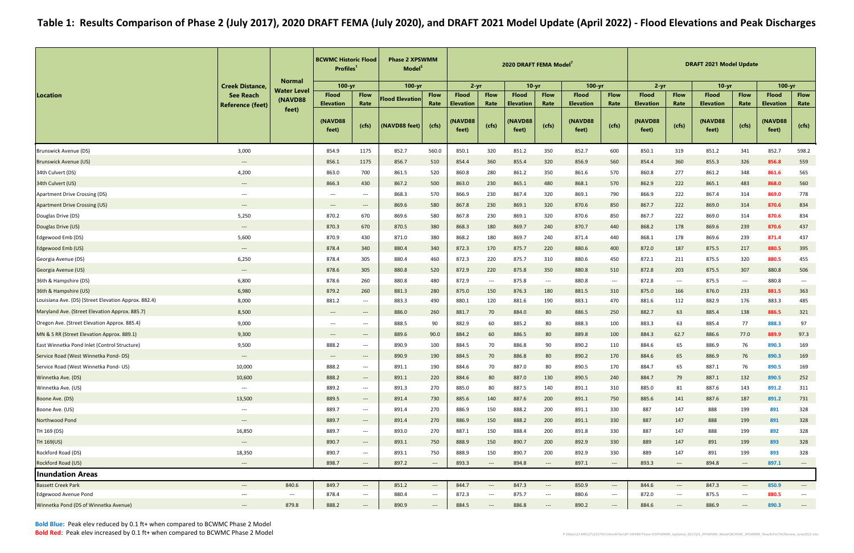Bold Blue: Peak elev reduced by 0.1 ft+ when compared to BCWMC Phase 2 ModelBold Red: Peak elev increased by 0.1 ft+ when compared to BCWMC Phase 2 Model

|                                                      |                                                               | <b>Normal</b>                          | <b>BCWMC Historic Flood</b><br><b>Profiles</b> |                                                               | <b>Phase 2 XPSWMM</b><br>Model <sup>5</sup> |                                   |                                  |                                          | 2020 DRAFT FEMA Model <sup>7</sup> |                                  |                                  |                                          |                                  |                                          | <b>DRAFT 2021 Model Update</b>   |                                          |                                  |                                   |
|------------------------------------------------------|---------------------------------------------------------------|----------------------------------------|------------------------------------------------|---------------------------------------------------------------|---------------------------------------------|-----------------------------------|----------------------------------|------------------------------------------|------------------------------------|----------------------------------|----------------------------------|------------------------------------------|----------------------------------|------------------------------------------|----------------------------------|------------------------------------------|----------------------------------|-----------------------------------|
|                                                      | <b>Creek Distance,</b>                                        | <b>Water Level</b>                     | $100 - yr$                                     |                                                               | 100-yr                                      |                                   | $2 - yr$                         |                                          | $10 - yr$                          |                                  | $100 - yr$                       |                                          | $2 - yr$                         |                                          | $10-yr$                          |                                          | $100 - yr$                       |                                   |
| Location                                             | <b>See Reach</b><br><b>Reference (feet)</b>                   | (NAVD88                                | <b>Flood</b><br><b>Elevation</b>               | <b>Flow</b><br>Rate                                           | <b>Flood Elevation</b>                      | <b>Flow</b><br>Rate               | <b>Flood</b><br><b>Elevation</b> | <b>Flow</b><br>Rate                      | <b>Flood</b><br><b>Elevation</b>   | <b>Flow</b><br>Rate              | <b>Flood</b><br><b>Elevation</b> | <b>Flow</b><br>Rate                      | <b>Flood</b><br><b>Elevation</b> | <b>Flow</b><br>Rate                      | <b>Flood</b><br><b>Elevation</b> | <b>Flow</b><br>Rate                      | <b>Flood</b><br><b>Elevation</b> | <b>Flow</b><br>Rate               |
|                                                      |                                                               | feet)                                  | (NAVD88<br>feet)                               | (cfs)                                                         | (NAVD88 feet)                               | (cfs)                             | <b>(NAVD88)</b><br>feet)         | (cfs)                                    | (NAVD88<br>feet)                   | (cfs)                            | <b>(NAVD88)</b><br>feet)         | (cts)                                    | <b>(NAVD88)</b><br>feet)         | (cfs)                                    | (NAVD88<br>feet)                 | (cfs)                                    | <b>(NAVD88)</b><br>feet)         | (cfs)                             |
| Brunswick Avenue (DS)                                | 3,000                                                         |                                        | 854.9                                          | 1175                                                          | 852.7                                       | 560.0                             | 850.1                            | 320                                      | 851.2                              | 350                              | 852.7                            | 600                                      | 850.1                            | 319                                      | 851.2                            | 341                                      | 852.7                            | 598.2                             |
| <b>Brunswick Avenue (US)</b>                         | $\hspace{0.05cm} \dashrightarrow$                             |                                        | 856.1                                          | 1175                                                          | 856.7                                       | 510                               | 854.4                            | 360                                      | 855.4                              | 320                              | 856.9                            | 560                                      | 854.4                            | 360                                      | 855.3                            | 326                                      | 856.8                            | 559                               |
| 34th Culvert (DS)                                    | 4,200                                                         |                                        | 863.0                                          | 700                                                           | 861.5                                       | 520                               | 860.8                            | 280                                      | 861.2                              | 350                              | 861.6                            | 570                                      | 860.8                            | 277                                      | 861.2                            | 348                                      | 861.6                            | 565                               |
| 34th Culvert (US)                                    | $---$                                                         |                                        | 866.3                                          | 430                                                           | 867.2                                       | 500                               | 863.0                            | 230                                      | 865.1                              | 480                              | 868.1                            | 570                                      | 862.9                            | 222                                      | 865.1                            | 483                                      | 868.0                            | 560                               |
| <b>Apartment Drive Crossing (DS)</b>                 | $\hspace{0.05cm} \cdots$                                      |                                        | $\hspace{0.05cm} \ldots \hspace{0.05cm}$       | $\hspace{0.05cm} \ldots$                                      | 868.3                                       | 570                               | 866.9                            | 230                                      | 867.4                              | 320                              | 869.1                            | 790                                      | 866.9                            | 222                                      | 867.4                            | 314                                      | 869.0                            | 778                               |
| <b>Apartment Drive Crossing (US)</b>                 | $\hspace{0.05cm} \dashrightarrow$                             |                                        | $\hspace{0.05cm} \dashrightarrow$              | $\hspace{0.05cm} \cdots$                                      | 869.6                                       | 580                               | 867.8                            | 230                                      | 869.1                              | 320                              | 870.6                            | 850                                      | 867.7                            | 222                                      | 869.0                            | 314                                      | 870.6                            | 834                               |
| Douglas Drive (DS)                                   | 5,250                                                         |                                        | 870.2                                          | 670                                                           | 869.6                                       | 580                               | 867.8                            | 230                                      | 869.1                              | 320                              | 870.6                            | 850                                      | 867.7                            | 222                                      | 869.0                            | 314                                      | 870.6                            | 834                               |
| Douglas Drive (US)                                   | $\hspace{0.05cm} \dashrightarrow$                             |                                        | 870.3                                          | 670                                                           | 870.5                                       | 380                               | 868.3                            | 180                                      | 869.7                              | 240                              | 870.7                            | 440                                      | 868.2                            | 178                                      | 869.6                            | 239                                      | 870.6                            | 437                               |
| Edgewood Emb (DS)                                    | 5,600                                                         |                                        | 870.9                                          | 430                                                           | 871.0                                       | 380                               | 868.2                            | 180                                      | 869.7                              | 240                              | 871.4                            | 440                                      | 868.1                            | 178                                      | 869.6                            | 239                                      | 871.4                            | 437                               |
| Edgewood Emb (US)                                    | $---$                                                         |                                        | 878.4                                          | 340                                                           | 880.4                                       | 340                               | 872.3                            | 170                                      | 875.7                              | 220                              | 880.6                            | 400                                      | 872.0                            | 187                                      | 875.5                            | 217                                      | 880.5                            | 395                               |
| Georgia Avenue (DS)                                  | 6,250                                                         |                                        | 878.4                                          | 305                                                           | 880.4                                       | 460                               | 872.3                            | 220                                      | 875.7                              | 310                              | 880.6                            | 450                                      | 872.1                            | 211                                      | 875.5                            | 320                                      | 880.5                            | 455                               |
| Georgia Avenue (US)                                  | $\hspace{0.1em}-\hspace{0.1em}-\hspace{0.1em}-\hspace{0.1em}$ |                                        | 878.6                                          | 305                                                           | 880.8                                       | 520                               | 872.9                            | 220                                      | 875.8                              | 350                              | 880.8                            | 510                                      | 872.8                            | 203                                      | 875.5                            | 307                                      | 880.8                            | 506                               |
| 36th & Hampshire (DS)                                | 6,800                                                         |                                        | 878.6                                          | 260                                                           | 880.8                                       | 480                               | 872.9                            | $\hspace{0.05cm} \ldots \hspace{0.05cm}$ | 875.8                              | $\hspace{0.05cm} \ldots$         | 880.8                            | $\hspace{0.05cm} \ldots \hspace{0.05cm}$ | 872.8                            | $\hspace{0.05cm} \ldots \hspace{0.05cm}$ | 875.5                            | $\hspace{0.05cm} \ldots \hspace{0.05cm}$ | 880.8                            | $---$                             |
| 36th & Hampshire (US)                                | 6,980                                                         |                                        | 879.2                                          | 260                                                           | 881.3                                       | 280                               | 875.0                            | 150                                      | 876.3                              | 180                              | 881.5                            | 310                                      | 875.0                            | 166                                      | 876.0                            | 233                                      | 881.5                            | 363                               |
| Louisiana Ave. (DS) (Street Elevation Approx. 882.4) | 8,000                                                         |                                        | 881.2                                          | $---$                                                         | 883.3                                       | 490                               | 880.1                            | 120                                      | 881.6                              | 190                              | 883.1                            | 470                                      | 881.6                            | 112                                      | 882.9                            | 176                                      | 883.3                            | 485                               |
| Maryland Ave. (Street Elevation Approx. 885.7)       | 8,500                                                         |                                        | $\hspace{0.05cm} \dashrightarrow$              | $\hspace{0.05cm} \ldots$                                      | 886.0                                       | 260                               | 881.7                            | 70                                       | 884.0                              | 80                               | 886.5                            | 250                                      | 882.7                            | 63                                       | 885.4                            | 138                                      | 886.5                            | 321                               |
| Oregon Ave. (Street Elevation Approx. 885.4)         | 9,000                                                         |                                        | $\hspace{0.05cm} \ldots \hspace{0.05cm}$       | $\hspace{0.05cm} \ldots$                                      | 888.5                                       | 90                                | 882.9                            | 60                                       | 885.2                              | 80                               | 888.3                            | 100                                      | 883.3                            | 63                                       | 885.4                            | 77                                       | 888.3                            | 97                                |
| MN & S RR (Street Elevation Approx. 889.1)           | 9,300                                                         |                                        | $\hspace{0.05cm} \ldots$                       | $\hspace{0.05cm} \ldots$                                      | 889.6                                       | 90.0                              | 884.2                            | 60                                       | 886.5                              | 80                               | 889.8                            | 100                                      | 884.3                            | 62.7                                     | 886.6                            | 77.0                                     | 889.9                            | 97.3                              |
| East Winnetka Pond Inlet (Control Structure)         | 9,500                                                         |                                        | 888.2                                          | $\hspace{0.05cm} \ldots$                                      | 890.9                                       | 100                               | 884.5                            | 70                                       | 886.8                              | 90                               | 890.2                            | 110                                      | 884.6                            | 65                                       | 886.9                            | 76                                       | 890.3                            | 169                               |
| Service Road (West Winnetka Pond-DS)                 |                                                               |                                        | $---$                                          | $\qquad \qquad - -$                                           | 890.9                                       | 190                               | 884.5                            | 70                                       | 886.8                              | 80                               | 890.2                            | 170                                      | 884.6                            | 65                                       | 886.9                            | 76                                       | 890.3                            | 169                               |
| Service Road (West Winnetka Pond- US)                | 10,000                                                        |                                        | 888.2                                          | $\hspace{0.05cm} \ldots$                                      | 891.1                                       | 190                               | 884.6                            | 70                                       | 887.0                              | 80                               | 890.5                            | 170                                      | 884.7                            | 65                                       | 887.1                            | 76                                       | 890.5                            | 169                               |
| Winnetka Ave. (DS)                                   | 10,600                                                        |                                        | 888.2                                          | $\hspace{0.1em} \dashrightarrow$                              | 891.1                                       | 220                               | 884.6                            | 80                                       | 887.0                              | 130                              | 890.5                            | 240                                      | 884.7                            | 79                                       | 887.1                            | 132                                      | 890.5                            | 252                               |
| Winnetka Ave. (US)                                   | $\hspace{0.05cm} \dashrightarrow$                             |                                        | 889.2                                          | $\hspace{0.1em}-\hspace{0.1em}-\hspace{0.1em}-\hspace{0.1em}$ | 891.3                                       | 270                               | 885.0                            | 80                                       | 887.5                              | 140                              | 891.1                            | 310                                      | 885.0                            | 81                                       | 887.6                            | 143                                      | 891.2                            | 311                               |
| Boone Ave. (DS)                                      | 13,500                                                        |                                        | 889.5                                          | $\hspace{0.1em} \dashrightarrow$                              | 891.4                                       | 730                               | 885.6                            | 140                                      | 887.6                              | 200                              | 891.1                            | 750                                      | 885.6                            | 141                                      | 887.6                            | 187                                      | 891.2                            | 731                               |
| Boone Ave. (US)                                      | $\hspace{0.05cm} \dashrightarrow$                             |                                        | 889.7                                          | $\hspace{0.05cm} \ldots$                                      | 891.4                                       | 270                               | 886.9                            | 150                                      | 888.2                              | 200                              | 891.1                            | 330                                      | 887                              | 147                                      | 888                              | 199                                      | 891                              | 328                               |
| Northwood Pond                                       | $\hspace{0.05cm} \dashrightarrow$                             |                                        | 889.7                                          | $---$                                                         | 891.4                                       | 270                               | 886.9                            | 150                                      | 888.2                              | 200                              | 891.1                            | 330                                      | 887                              | 147                                      | 888                              | 199                                      | 891                              | 328                               |
| TH 169 (DS)                                          | 16,850                                                        |                                        | 889.7                                          | $---$                                                         | 893.0                                       | 270                               | 887.1                            | 150                                      | 888.4                              | 200                              | 891.8                            | 330                                      | 887                              | 147                                      | 888                              | 199                                      | 892                              | 328                               |
| TH 169(US)                                           | $\hspace{0.05cm} \dashrightarrow$                             |                                        | 890.7                                          | $---$                                                         | 893.1                                       | 750                               | 888.9                            | 150                                      | 890.7                              | 200                              | 892.9                            | 330                                      | 889                              | 147                                      | 891                              | 199                                      | 893                              | 328                               |
| Rockford Road (DS)                                   | 18,350                                                        |                                        | 890.7                                          | $\hspace{0.05cm} \ldots$                                      | 893.1                                       | 750                               | 888.9                            | 150                                      | 890.7                              | 200                              | 892.9                            | 330                                      | 889                              | 147                                      | 891                              | 199                                      | 893                              | 328                               |
| Rockford Road (US)                                   | $\hspace{0.05cm} \dashrightarrow$                             |                                        | 898.7                                          | $\hspace{0.05cm} \dashrightarrow$                             | 897.2                                       | $\hspace{0.05cm} \cdots$          | 893.3                            | $---$                                    | 894.8                              | $\hspace{0.1em} \dashrightarrow$ | 897.1                            | $\hspace{0.1em} \dashrightarrow$         | 893.3                            | $\hspace{0.1em} \dashrightarrow$         | 894.8                            | $\hspace{0.1em} \dashrightarrow$         | 897.1                            | $\hspace{0.1em} \dashrightarrow$  |
| <b>Inundation Areas</b>                              |                                                               |                                        |                                                |                                                               |                                             |                                   |                                  |                                          |                                    |                                  |                                  |                                          |                                  |                                          |                                  |                                          |                                  |                                   |
| <b>Bassett Creek Park</b>                            | $---$                                                         | 840.6                                  | 849.7                                          | $---$                                                         | 851.2                                       | $\hspace{0.05cm} \ldots$          | 844.7                            | $---$                                    | 847.3                              | $\hspace{0.1em} \ldots$          | 850.9                            | $\hspace{0.1em} \dashrightarrow$         | 844.6                            | $\hspace{0.1em} \ldots \hspace{0.1em}$   | 847.3                            | $\hspace{0.1em} \ldots \hspace{0.1em}$   | 850.9                            | $\hspace{0.05cm} \dashrightarrow$ |
| <b>Edgewood Avenue Pond</b>                          | $\hspace{0.05cm} \cdots$                                      | $\hspace{0.1em} \ldots \hspace{0.1em}$ | 878.4                                          | $--$                                                          | 880.4                                       | $\hspace{0.05cm} \dashrightarrow$ | 872.3                            | $\hspace{0.05cm} \textbf{---}$           | 875.7                              | $\hspace{0.05cm} \textbf{---}$   | 880.6                            | $\hspace{0.05cm} \ldots \hspace{0.05cm}$ | 872.0                            | $\hspace{0.05cm} \ldots \hspace{0.05cm}$ | 875.5                            | $\hspace{0.05cm} \ldots \hspace{0.05cm}$ | 880.5                            | $\hspace{0.05cm} \dashrightarrow$ |
| Winnetka Pond (DS of Winnetka Avenue)                | $\hspace{0.05cm} \dashrightarrow$                             | 879.8                                  | 888.2                                          | $---$                                                         | 890.9                                       | $\hspace{0.05cm} \cdots$          | 884.5                            | $---$                                    | 886.8                              | $\hspace{0.1em} \dashrightarrow$ | 890.2                            | $\hspace{0.05cm} \cdots$                 | 884.6                            | $\hspace{0.1em} \dashrightarrow$         | 886.9                            | $\hspace{0.05cm} \cdots$                 | 890.3                            | $\hspace{0.05cm} \cdots$          |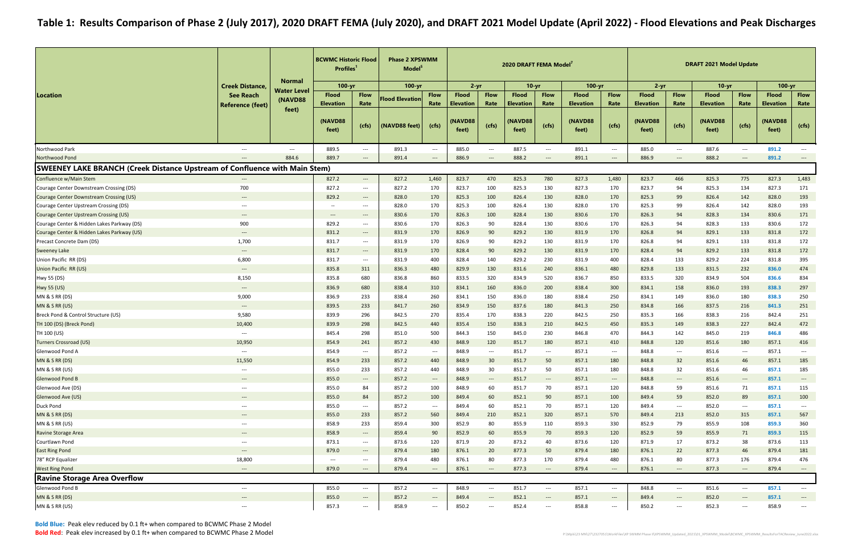Bold Blue: Peak elev reduced by 0.1 ft+ when compared to BCWMC Phase 2 ModelBold Red: Peak elev increased by 0.1 ft+ when compared to BCWMC Phase 2 Model

|                                                                                   |                                          | <b>Normal</b> | <b>BCWMC Historic Flood</b><br>Profiles <sup>1</sup> |                                                               | <b>Phase 2 XPSWMM</b><br>Model <sup>5</sup> |                                          |                                  |                                                               | 2020 DRAFT FEMA Model            |                                  |                                  |                                          |                                  |                                                               | <b>DRAFT 2021 Model Update</b>   |                                          |                                  |                                   |
|-----------------------------------------------------------------------------------|------------------------------------------|---------------|------------------------------------------------------|---------------------------------------------------------------|---------------------------------------------|------------------------------------------|----------------------------------|---------------------------------------------------------------|----------------------------------|----------------------------------|----------------------------------|------------------------------------------|----------------------------------|---------------------------------------------------------------|----------------------------------|------------------------------------------|----------------------------------|-----------------------------------|
|                                                                                   | <b>Creek Distance</b>                    | Water Level   | $100 - yr$                                           |                                                               | 100-yr                                      |                                          | $2 - yr$                         |                                                               | $10 - yr$                        |                                  | $100 - yr$                       |                                          | $2 - yr$                         |                                                               | $10-yr$                          |                                          | $100 - yr$                       |                                   |
| <b>Location</b>                                                                   | <b>See Reach</b>                         | (NAVD88       | <b>Flood</b><br><b>Elevation</b>                     | <b>Flow</b><br>Rate                                           | <b>Flood Elevation</b>                      | <b>Flow</b><br>Rate                      | <b>Flood</b><br><b>Elevation</b> | <b>Flow</b><br>Rate                                           | <b>Flood</b><br><b>Elevation</b> | <b>Flow</b><br>Rate              | <b>Flood</b><br><b>Elevation</b> | <b>Flow</b><br>Rate                      | <b>Flood</b><br><b>Elevation</b> | <b>Flow</b><br>Rate                                           | <b>Flood</b><br><b>Elevation</b> | <b>Flow</b><br>Rate                      | <b>Flood</b><br><b>Elevation</b> | <b>Flow</b><br>Rate               |
|                                                                                   | <b>Reference (feet)</b>                  | feet)         | (NAVD88<br>feet)                                     | (cfs)                                                         | (NAVD88 feet)                               | (cfs)                                    | <b>NAVD88</b><br>feet)           | (cfs)                                                         | <b>NAVD88</b><br>feet)           | (cfs)                            | (NAVD88<br>feet)                 | (cfs)                                    | (NAVD88<br>feet)                 | (cfs)                                                         | (NAVD88<br>feet)                 | (cfs)                                    | (NAVD88<br>feet)                 | (cfs)                             |
| Northwood Park                                                                    | $\hspace{0.05cm} \ldots \hspace{0.05cm}$ | $---$         | 889.5                                                | $\hspace{0.05cm} \ldots$                                      | 891.3                                       | $--$                                     | 885.0                            | $\hspace{0.1mm}-\hspace{0.1mm}-\hspace{0.1mm}-\hspace{0.1mm}$ | 887.5                            | $--$                             | 891.1                            | $\hspace{0.05cm} \ldots \hspace{0.05cm}$ | 885.0                            | $---$                                                         | 887.6                            | $--$                                     | 891.2                            | $\hspace{0.05cm} \ldots$          |
| Northwood Pond                                                                    |                                          | 884.6         | 889.7                                                | $---$                                                         | 891.4                                       | $---$                                    | 886.9                            | $---$                                                         | 888.2                            | $\overline{\phantom{a}}$         | 891.1                            | $---$                                    | 886.9                            | $---$                                                         | 888.2                            | $\qquad \qquad - -$                      | 891.2                            | $---$                             |
| <b>SWEENEY LAKE BRANCH (Creek Distance Upstream of Confluence with Main Stem)</b> |                                          |               |                                                      |                                                               |                                             |                                          |                                  |                                                               |                                  |                                  |                                  |                                          |                                  |                                                               |                                  |                                          |                                  |                                   |
| Confluence w/Main Stem                                                            | $\hspace{0.05cm} \ldots$                 |               | 827.2                                                | $\hspace{0.05cm} \ldots$                                      | 827.2                                       | 1,460                                    | 823.7                            | 470                                                           | 825.3                            | 780                              | 827.3                            | 1,480                                    | 823.7                            | 466                                                           | 825.3                            | 775                                      | 827.3                            | 1,483                             |
| Courage Center Downstream Crossing (DS)                                           | 700                                      |               | 827.2                                                | $\hspace{0.05cm} \ldots$                                      | 827.2                                       | 170                                      | 823.7                            | 100                                                           | 825.3                            | 130                              | 827.3                            | 170                                      | 823.7                            | 94                                                            | 825.3                            | 134                                      | 827.3                            | 171                               |
| Courage Center Downstream Crossing (US)                                           | $---$                                    |               | 829.2                                                | $---$                                                         | 828.0                                       | 170                                      | 825.3                            | 100                                                           | 826.4                            | 130                              | 828.0                            | 170                                      | 825.3                            | 99                                                            | 826.4                            | 142                                      | 828.0                            | 193                               |
| Courage Center Upstream Crossing (DS)                                             | $\hspace{0.05cm} \ldots \hspace{0.05cm}$ |               | $\hspace{0.1mm}-\hspace{0.1mm}-\hspace{0.1mm}$       | $---$                                                         | 828.0                                       | 170                                      | 825.3                            | 100                                                           | 826.4                            | 130                              | 828.0                            | 170                                      | 825.3                            | 99                                                            | 826.4                            | 142                                      | 828.0                            | 193                               |
| Courage Center Upstream Crossing (US)                                             | $\hspace{0.05cm} \dashrightarrow$        |               | $\hspace{0.05cm} \ldots \hspace{0.05cm}$             | $\hspace{0.1em} \ldots \hspace{0.1em}$                        | 830.6                                       | 170                                      | 826.3                            | 100                                                           | 828.4                            | 130                              | 830.6                            | 170                                      | 826.3                            | 94                                                            | 828.3                            | 134                                      | 830.6                            | 171                               |
| Courage Center & Hidden Lakes Parkway (DS)                                        | 900                                      |               | 829.2                                                | $--$                                                          | 830.6                                       | 170                                      | 826.3                            | 90                                                            | 828.4                            | 130                              | 830.6                            | 170                                      | 826.3                            | 94                                                            | 828.3                            | 133                                      | 830.6                            | 172                               |
| Courage Center & Hidden Lakes Parkway (US)                                        | $\qquad \qquad \cdots$                   |               | 831.2                                                | $---$                                                         | 831.9                                       | 170                                      | 826.9                            | 90                                                            | 829.2                            | 130                              | 831.9                            | 170                                      | 826.8                            | 94                                                            | 829.1                            | 133                                      | 831.8                            | 172                               |
| Precast Concrete Dam (DS)                                                         | 1,700                                    |               | 831.7                                                | $\hspace{0.05cm} \ldots$                                      | 831.9                                       | 170                                      | 826.9                            | 90                                                            | 829.2                            | 130                              | 831.9                            | 170                                      | 826.8                            | 94                                                            | 829.1                            | 133                                      | 831.8                            | 172                               |
| <b>Sweeney Lake</b>                                                               | $\hspace{0.05cm} \ldots \hspace{0.05cm}$ |               | 831.7                                                | $---$                                                         | 831.9                                       | 170                                      | 828.4                            | 90                                                            | 829.2                            | 130                              | 831.9                            | 170                                      | 828.4                            | 94                                                            | 829.2                            | 133                                      | 831.8                            | 172                               |
| Union Pacific RR (DS)                                                             | 6,800                                    |               | 831.7                                                | $---$                                                         | 831.9                                       | 400                                      | 828.4                            | 140                                                           | 829.2                            | 230                              | 831.9                            | 400                                      | 828.4                            | 133                                                           | 829.2                            | 224                                      | 831.8                            | 395                               |
| Union Pacific RR (US)                                                             | $\hspace{0.05cm} \ldots \hspace{0.05cm}$ |               | 835.8                                                | 311                                                           | 836.3                                       | 480                                      | 829.9                            | 130                                                           | 831.6                            | 240                              | 836.1                            | 480                                      | 829.8                            | 133                                                           | 831.5                            | 232                                      | 836.0                            | 474                               |
| Hwy 55 (DS)                                                                       | 8,150                                    |               | 835.8                                                | 680                                                           | 836.8                                       | 860                                      | 833.5                            | 320                                                           | 834.9                            | 520                              | 836.7                            | 850                                      | 833.5                            | 320                                                           | 834.9                            | 504                                      | 836.6                            | 834                               |
| <b>Hwy 55 (US)</b>                                                                | $\hspace{0.05cm} \ldots \hspace{0.05cm}$ |               | 836.9                                                | 680                                                           | 838.4                                       | 310                                      | 834.1                            | 160                                                           | 836.0                            | 200                              | 838.4                            | 300                                      | 834.1                            | 158                                                           | 836.0                            | 193                                      | 838.3                            | 297                               |
| MN & S RR (DS)                                                                    | 9,000                                    |               | 836.9                                                | 233                                                           | 838.4                                       | 260                                      | 834.1                            | 150                                                           | 836.0                            | 180                              | 838.4                            | 250                                      | 834.1                            | 149                                                           | 836.0                            | 180                                      | 838.3                            | 250                               |
| MN & S RR (US)                                                                    | $\qquad \qquad \cdots$                   |               | 839.5                                                | 233                                                           | 841.7                                       | 260                                      | 834.9                            | 150                                                           | 837.6                            | 180                              | 841.3                            | 250                                      | 834.8                            | 166                                                           | 837.5                            | 216                                      | 841.3                            | 251                               |
| Breck Pond & Control Structure (US)                                               | 9,580                                    |               | 839.9                                                | 296                                                           | 842.5                                       | 270                                      | 835.4                            | 170                                                           | 838.3                            | 220                              | 842.5                            | 250                                      | 835.3                            | 166                                                           | 838.3                            | 216                                      | 842.4                            | 251                               |
| TH 100 (DS) (Breck Pond)                                                          | 10,400                                   |               | 839.9                                                | 298                                                           | 842.5                                       | 440                                      | 835.4                            | 150                                                           | 838.3                            | 210                              | 842.5                            | 450                                      | 835.3                            | 149                                                           | 838.3                            | 227                                      | 842.4                            | 472                               |
| TH 100 (US)                                                                       | $\hspace{0.05cm} \ldots \hspace{0.05cm}$ |               | 845.4                                                | 298                                                           | 851.0                                       | 500                                      | 844.3                            | 150                                                           | 845.0                            | 230                              | 846.8                            | 470                                      | 844.3                            | 142                                                           | 845.0                            | 219                                      | 846.8                            | 486                               |
| Turners Crossroad (US)                                                            | 10,950                                   |               | 854.9                                                | 241                                                           | 857.2                                       | 430                                      | 848.9                            | 120                                                           | 851.7                            | 180                              | 857.1                            | 410                                      | 848.8                            | 120                                                           | 851.6                            | 180                                      | 857.1                            | 416                               |
| Glenwood Pond A                                                                   | $---$                                    |               | 854.9                                                | $\hspace{0.05cm} \ldots$                                      | 857.2                                       | $\hspace{0.05cm} \ldots \hspace{0.05cm}$ | 848.9                            | $---$                                                         | 851.7                            | $\hspace{0.05cm} \ldots$         | 857.1                            | $---$                                    | 848.8                            | $\hspace{0.05cm} \ldots \hspace{0.05cm}$                      | 851.6                            | $\hspace{0.05cm} \ldots \hspace{0.05cm}$ | 857.1                            | $\overline{a}$                    |
| MN & S RR (DS)                                                                    | 11,550                                   |               | 854.9                                                | 233                                                           | 857.2                                       | 440                                      | 848.9                            | 30                                                            | 851.7                            | 50                               | 857.1                            | 180                                      | 848.8                            | 32                                                            | 851.6                            | 46                                       | 857.1                            | 185                               |
| MN & S RR (US)                                                                    | $\hspace{0.05cm} \dashrightarrow$        |               | 855.0                                                | 233                                                           | 857.2                                       | 440                                      | 848.9                            | 30                                                            | 851.7                            | 50                               | 857.1                            | 180                                      | 848.8                            | 32                                                            | 851.6                            | 46                                       | 857.1                            | 185                               |
| <b>Glenwood Pond B</b>                                                            | $\hspace{0.05cm} \dashrightarrow$        |               | 855.0                                                | $\hspace{0.1em}-\hspace{0.1em}-\hspace{0.1em}-\hspace{0.1em}$ | 857.2                                       | $\hspace{0.05cm} \dashrightarrow$        | 848.9                            | $\hspace{0.1em}-\hspace{0.1em}-\hspace{0.1em}-\hspace{0.1em}$ | 851.7                            | $\hspace{0.1em} \dashrightarrow$ | 857.1                            | $\hspace{0.1em} \cdots$                  | 848.8                            | $\hspace{0.1em} \dashrightarrow$                              | 851.6                            | $\hspace{0.05cm} \dashrightarrow$        | 857.1                            | $\hspace{0.05cm} \dashrightarrow$ |
| Glenwood Ave (DS)                                                                 | $\hspace{0.05cm} \ldots \hspace{0.05cm}$ |               | 855.0                                                | 84                                                            | 857.2                                       | 100                                      | 848.9                            | 60                                                            | 851.7                            | 70                               | 857.1                            | 120                                      | 848.8                            | 59                                                            | 851.6                            | 71                                       | 857.1                            | 115                               |
| Glenwood Ave (US)                                                                 | $\hspace{0.05cm} \dashrightarrow$        |               | 855.0                                                | 84                                                            | 857.2                                       | 100                                      | 849.4                            | 60                                                            | 852.1                            | 90                               | 857.1                            | 100                                      | 849.4                            | 59                                                            | 852.0                            | 89                                       | 857.1                            | 100                               |
| Duck Pond                                                                         | $\hspace{0.05cm} \ldots \hspace{0.05cm}$ |               | 855.0                                                | $--$                                                          | 857.2                                       | $\hspace{0.05cm} \dashrightarrow$        | 849.4                            | 60                                                            | 852.1                            | 70                               | 857.1                            | 120                                      | 849.4                            | $\hspace{0.05cm} \ldots \hspace{0.05cm}$                      | 852.0                            | $\hspace{0.05cm} \ldots \hspace{0.05cm}$ | 857.1                            | $\hspace{0.05cm} \dashrightarrow$ |
| MN & S RR (DS)                                                                    | $\hspace{0.05cm} \ldots \hspace{0.05cm}$ |               | 855.0                                                | 233                                                           | 857.2                                       | 560                                      | 849.4                            | 210                                                           | 852.1                            | 320                              | 857.1                            | 570                                      | 849.4                            | 213                                                           | 852.0                            | 315                                      | 857.1                            | 567                               |
| MN & S RR (US)                                                                    | $\hspace{0.05cm} \dashrightarrow$        |               | 858.9                                                | 233                                                           | 859.4                                       | 300                                      | 852.9                            | 80                                                            | 855.9                            | 110                              | 859.3                            | 330                                      | 852.9                            | 79                                                            | 855.9                            | 108                                      | 859.3                            | 360                               |
| Ravine Storage Area                                                               | $\hspace{0.05cm} \ldots \hspace{0.05cm}$ |               | 858.9                                                | $\hspace{0.1em}-\hspace{0.1em}-\hspace{0.1em}-\hspace{0.1em}$ | 859.4                                       | 90                                       | 852.9                            | 60                                                            | 855.9                            | 70                               | 859.3                            | 120                                      | 852.9                            | 59                                                            | 855.9                            | 71                                       | 859.3                            | 115                               |
| Courtlawn Pond                                                                    | $\hspace{0.05cm}---$                     |               | 873.1                                                | $--$                                                          | 873.6                                       | 120                                      | 871.9                            | 20                                                            | 873.2                            | 40                               | 873.6                            | 120                                      | 871.9                            | 17                                                            | 873.2                            | 38                                       | 873.6                            | 113                               |
| <b>East Ring Pond</b>                                                             | $\hspace{0.05cm} \ldots \hspace{0.05cm}$ |               | 879.0                                                | $---$                                                         | 879.4                                       | 180                                      | 876.1                            | 20                                                            | 877.3                            | 50                               | 879.4                            | 180                                      | 876.1                            | 22                                                            | 877.3                            | 46                                       | 879.4                            | 181                               |
| 78" RCP Equalizer                                                                 | 18,800                                   |               | $\hspace{0.05cm} \dashrightarrow$                    | $\hspace{0.05cm} \ldots$                                      | 879.4                                       | 480                                      | 876.1                            | 80                                                            | 877.3                            | 170                              | 879.4                            | 480                                      | 876.1                            | 80                                                            | 877.3                            | 176                                      | 879.4                            | 476                               |
| <b>West Ring Pond</b>                                                             | $---$                                    |               | 879.0                                                | $\hspace{0.05cm} \cdots$                                      | 879.4                                       | $\hspace{0.05cm} \dashrightarrow$        | 876.1                            | $\hspace{0.05cm} \cdots$                                      | 877.3                            | $\hspace{0.1em} \dashrightarrow$ | 879.4                            | $\hspace{0.1em} \dashrightarrow$         | 876.1                            | $\hspace{0.1em}-\hspace{0.1em}-\hspace{0.1em}-\hspace{0.1em}$ | 877.3                            | $\hspace{0.05cm} \dashrightarrow$        | 879.4                            | $\hspace{0.05cm} \dashrightarrow$ |
| <b>Ravine Storage Area Overflow</b>                                               |                                          |               |                                                      |                                                               |                                             |                                          |                                  |                                                               |                                  |                                  |                                  |                                          |                                  |                                                               |                                  |                                          |                                  |                                   |
| Glenwood Pond B                                                                   | $\hspace{0.05cm} \ldots$                 |               | 855.0                                                | $--$                                                          | 857.2                                       | $\hspace{0.05cm} \ldots$                 | 848.9                            | $\hspace{0.05cm} \ldots$                                      | 851.7                            | $\hspace{0.05cm} \ldots$         | 857.1                            | $\hspace{0.05cm} \ldots$                 | 848.8                            | $\hspace{0.05cm} \ldots \hspace{0.05cm}$                      | 851.6                            | $\hspace{0.05cm} \ldots$                 | 857.1                            | $\hspace{0.05cm} \ldots$          |
| MN & S RR (DS)                                                                    | $\hspace{0.05cm} \dashrightarrow$        |               | 855.0                                                | $\hspace{0.1em} \dashrightarrow$                              | 857.2                                       | $\hspace{0.05cm} \dashrightarrow$        | 849.4                            | $\hspace{0.05cm} \dashrightarrow$                             | 852.1                            | $\hspace{0.1em} \dashrightarrow$ | 857.1                            | $\hspace{0.1em} \dashrightarrow$         | 849.4                            | $\hspace{0.1em} \dashrightarrow$                              | 852.0                            | $\hspace{0.05cm} \ldots$                 | 857.1                            | $\overline{\phantom{a}}$          |
| MN & S RR (US)                                                                    | $\hspace{0.05cm} \dashrightarrow$        |               | 857.3                                                | $\hspace{0.05cm} \cdots$                                      | 858.9                                       | $\hspace{0.05cm} \dashrightarrow$        | 850.2                            | $---$                                                         | 852.4                            | $\hspace{0.05cm} \ldots$         | 858.8                            | $\hspace{0.05cm} \dashrightarrow$        | 850.2                            | $\hspace{0.1em} \dashrightarrow$                              | 852.3                            | $\hspace{0.05cm} \ldots$                 | 858.9                            | $\overline{\phantom{a}}$          |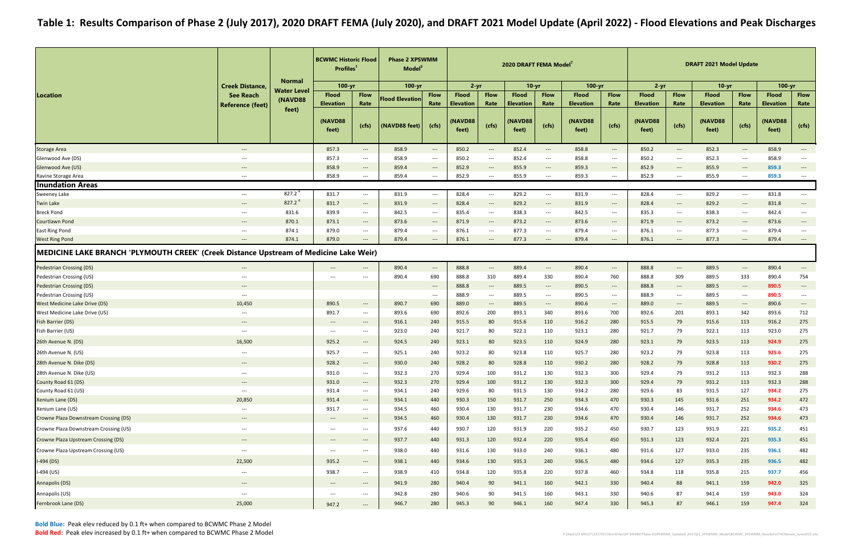|                                                                                       |                                                               |                               | <b>BCWMC Historic Flood</b><br><b>Profiles</b> |                                          | <b>Phase 2 XPSWMM</b><br>Model <sup>5</sup> |                                                               |                          |                                                               | 2020 DRAFT FEMA Model <sup>7</sup> |                                   |                          |                                                               |                          |                                                               | <b>DRAFT 2021 Model Update</b> |                                                               |                  |                                          |
|---------------------------------------------------------------------------------------|---------------------------------------------------------------|-------------------------------|------------------------------------------------|------------------------------------------|---------------------------------------------|---------------------------------------------------------------|--------------------------|---------------------------------------------------------------|------------------------------------|-----------------------------------|--------------------------|---------------------------------------------------------------|--------------------------|---------------------------------------------------------------|--------------------------------|---------------------------------------------------------------|------------------|------------------------------------------|
|                                                                                       | <b>Creek Distance</b>                                         | <b>Normal</b>                 | $100 - yr$                                     |                                          | $100 - yr$                                  |                                                               | $2 - yr$                 |                                                               | $10 - yr$                          |                                   | $100 - yr$               |                                                               | $2 - yr$                 |                                                               | $10-yr$                        |                                                               | $100 - yr$       |                                          |
| Location                                                                              | <b>See Reach</b>                                              | <b>Water Level</b><br>(NAVD88 | <b>Flood</b>                                   | <b>Flow</b>                              | <b>Flood Elevation</b>                      | <b>Flow</b>                                                   | <b>Flood</b>             | <b>Flow</b>                                                   | <b>Flood</b>                       | <b>Flow</b>                       | <b>Flood</b>             | <b>Flow</b>                                                   | <b>Flood</b>             | <b>Flow</b>                                                   | <b>Flood</b>                   | <b>Flow</b>                                                   | <b>Flood</b>     | <b>Flow</b>                              |
|                                                                                       | <b>Reference (feet)</b>                                       | feet)                         | <b>Elevation</b>                               | Rate                                     |                                             | Rate                                                          | <b>Elevation</b>         | Rate                                                          | <b>Elevation</b>                   | Rate                              | <b>Elevation</b>         | Rate                                                          | <b>Elevation</b>         | Rate                                                          | <b>Elevation</b>               | Rate                                                          | <b>Elevation</b> | Rate                                     |
|                                                                                       |                                                               |                               | (NAVD88<br>feet)                               | (cfs)                                    | (NAVD88 feet)                               | (cfs)                                                         | <b>(NAVD88)</b><br>feet) | (cfs)                                                         | (NAVD88<br>feet)                   | (cfs)                             | <b>(NAVD88)</b><br>feet) | (cts)                                                         | <b>(NAVD88)</b><br>feet) | (cfs)                                                         | (NAVD88<br>feet)               | (cfs)                                                         | (NAVD88<br>feet) | (cfs)                                    |
| <b>Storage Area</b>                                                                   | $\hspace{0.05cm} \dashrightarrow$                             |                               | 857.3                                          | $\hspace{0.1em} \dashrightarrow$         | 858.9                                       | $\hspace{0.05cm} \dashrightarrow$                             | 850.2                    | $\hspace{0.1em} \ldots \hspace{0.1em}$                        | 852.4                              | $\hspace{0.1em} \dashrightarrow$  | 858.8                    | $\hspace{0.05cm} \dashrightarrow$                             | 850.2                    | $\hspace{0.05cm} \cdots$                                      | 852.3                          | $\hspace{0.05cm} \dashrightarrow$                             | 858.9            | $\hspace{0.05cm} \cdots$                 |
| Glenwood Ave (DS)                                                                     | $---$                                                         |                               | 857.3                                          | $\hspace{0.05cm} \ldots$                 | 858.9                                       | $\hspace{0.05cm} \ldots \hspace{0.05cm}$                      | 850.2                    | $\hspace{0.05cm}---\hspace{0.05cm}$                           | 852.4                              | $\hspace{0.05cm} \ldots$          | 858.8                    | ---                                                           | 850.2                    | $\hspace{0.05cm} \ldots \hspace{0.05cm}$                      | 852.3                          | $\hspace{0.05cm} \ldots \hspace{0.05cm}$                      | 858.9            | $---$                                    |
| Glenwood Ave (US)                                                                     | $\overline{\phantom{a}}$                                      |                               | 858.9                                          | $\hspace{0.05cm} \dashrightarrow$        | 859.4                                       | $\hspace{0.05cm} \ldots \hspace{0.05cm}$                      | 852.9                    | $---$                                                         | 855.9                              | $\hspace{0.1em} \dashrightarrow$  | 859.3                    | $\hspace{0.05cm} \ldots$                                      | 852.9                    | $\hspace{0.1em} \dashrightarrow$                              | 855.9                          | $\hspace{0.05cm} \ldots \hspace{0.05cm}$                      | 859.3            | $\overline{\phantom{a}}$                 |
| Ravine Storage Area                                                                   | $\hspace{0.05cm} \dashrightarrow$                             |                               | 858.9                                          | $\hspace{0.05cm} \ldots$                 | 859.4                                       | $\qquad \qquad - - -$                                         | 852.9                    | $\hspace{0.05cm} \ldots$                                      | 855.9                              | $\hspace{0.05cm} \ldots$          | 859.3                    | ---                                                           | 852.9                    | $\hspace{0.05cm} \ldots \hspace{0.05cm}$                      | 855.9                          | $--$                                                          | 859.3            | $\hspace{0.05cm} \ldots \hspace{0.05cm}$ |
| <b>Inundation Areas</b>                                                               |                                                               |                               |                                                |                                          |                                             |                                                               |                          |                                                               |                                    |                                   |                          |                                                               |                          |                                                               |                                |                                                               |                  |                                          |
| Sweeney Lake                                                                          | $\hspace{0.05cm} \dashrightarrow$                             | 827.2 <sup>4</sup>            | 831.7                                          | $\hspace{0.05cm} \ldots$                 | 831.9                                       | $\hspace{0.05cm} \ldots$                                      | 828.4                    | $\hspace{0.05cm} \ldots \hspace{0.05cm}$                      | 829.2                              | $\hspace{0.05cm} \ldots$          | 831.9                    | $\hspace{0.05cm} \ldots$                                      | 828.4                    | $---$                                                         | 829.2                          | $\hspace{0.05cm} \ldots$                                      | 831.8            | $\hspace{0.05cm} \ldots$                 |
| <b>Twin Lake</b>                                                                      | $\hspace{0.05cm} \cdots$                                      | $827.2^4$                     | 831.7                                          | $\hspace{0.1em} \dashrightarrow$         | 831.9                                       | $\hspace{0.05cm} \cdots$                                      | 828.4                    | $\hspace{0.1em}-\hspace{0.1em}-\hspace{0.1em}-\hspace{0.1em}$ | 829.2                              | $\hspace{0.1em} \dashrightarrow$  | 831.9                    | $\hspace{0.05cm} \cdots$                                      | 828.4                    | $\hspace{0.1em} \dashrightarrow$                              | 829.2                          | $\hspace{0.1em}-\hspace{0.1em}-\hspace{0.1em}-\hspace{0.1em}$ | 831.8            | $\hspace{0.05cm} \cdots$                 |
| <b>Breck Pond</b>                                                                     | $--$                                                          | 831.6                         | 839.9                                          | $\hspace{0.05cm} \ldots$                 | 842.5                                       | $\hspace{0.05cm} \ldots \hspace{0.05cm}$                      | 835.4                    | $---$                                                         | 838.3                              | $---$                             | 842.5                    | ---                                                           | 835.3                    | $--$                                                          | 838.3                          | $\hspace{0.05cm} \ldots$                                      | 842.4            | $\hspace{0.05cm} \dashrightarrow$        |
| Courtlawn Pond                                                                        | $\hspace{0.05cm} \cdots$                                      | 870.1                         | 873.1                                          | $\hspace{0.05cm} \dashrightarrow$        | 873.6                                       | $\hspace{0.05cm} \cdots$                                      | 871.9                    | $\hspace{0.05cm} \ldots$                                      | 873.2                              | $\hspace{0.1em} \dashrightarrow$  | 873.6                    | $\hspace{0.05cm} \ldots$                                      | 871.9                    | $\hspace{0.1em} \dashrightarrow$                              | 873.2                          | $\hspace{0.05cm} \ldots \hspace{0.05cm}$                      | 873.6            | $\overline{\phantom{a}}$                 |
| <b>East Ring Pond</b>                                                                 | $\hspace{0.05cm} \ldots \hspace{0.05cm}$                      | 874.1                         | 879.0                                          | $\hspace{0.05cm} \ldots$                 | 879.4                                       | $\hspace{0.05cm} \ldots \hspace{0.05cm}$                      | 876.1                    | $---$                                                         | 877.3                              | $\hspace{0.05cm} \dashrightarrow$ | 879.4                    | $\hspace{0.05cm} \ldots \hspace{0.05cm}$                      | 876.1                    | $\hspace{0.05cm} \ldots$                                      | 877.3                          | $\hspace{0.05cm} \ldots \hspace{0.05cm}$                      | 879.4            | $---$                                    |
| <b>West Ring Pond</b>                                                                 | $\hspace{0.05cm} \dashrightarrow$                             | 874.1                         | 879.0                                          | $\hspace{0.05cm} \ldots$                 | 879.4                                       | $\qquad \qquad \cdots$                                        | 876.1                    | $\hspace{0.1em} \ldots$                                       | 877.3                              | $\hspace{0.1em} \dashrightarrow$  | 879.4                    | $\hspace{0.05cm} \ldots$                                      | 876.1                    | $\hspace{0.1em} \dashrightarrow$                              | 877.3                          | $\hspace{0.1em} \dashrightarrow$                              | 879.4            | $\hspace{0.05cm} \dashrightarrow$        |
| MEDICINE LAKE BRANCH 'PLYMOUTH CREEK' (Creek Distance Upstream of Medicine Lake Weir) |                                                               |                               |                                                |                                          |                                             |                                                               |                          |                                                               |                                    |                                   |                          |                                                               |                          |                                                               |                                |                                                               |                  |                                          |
| <b>Pedestrian Crossing (DS)</b>                                                       | $---$                                                         |                               | $---$                                          | ---                                      | 890.4                                       | $\hspace{0.1em}-\hspace{0.1em}-\hspace{0.1em}-\hspace{0.1em}$ | 888.8                    | $\hspace{0.1em} \ldots$                                       | 889.4                              | $\hspace{0.1em} \dashrightarrow$  | 890.4                    | $\hspace{0.1em} \dashrightarrow$                              | 888.8                    | $\hspace{0.1em} \dashrightarrow$                              | 889.5                          | $\hspace{0.1em}-\hspace{0.1em}-\hspace{0.1em}-\hspace{0.1em}$ | 890.4            | $\hspace{0.1em} \dashrightarrow$         |
| Pedestrian Crossing (US)                                                              | $\hspace{0.05cm} \ldots \hspace{0.05cm}$                      |                               | $---$                                          | $---$                                    | 890.4                                       | 690                                                           | 888.8                    | 310                                                           | 889.4                              | 330                               | 890.4                    | 760                                                           | 888.8                    | 309                                                           | 889.5                          | 333                                                           | 890.4            | 754                                      |
| <b>Pedestrian Crossing (DS)</b>                                                       | $---$                                                         |                               |                                                |                                          |                                             | $\hspace{0.05cm} \dashrightarrow$                             | 888.8                    | $---$                                                         | 889.5                              | $---$                             | 890.5                    | $\hspace{0.1em}-\hspace{0.1em}-\hspace{0.1em}-\hspace{0.1em}$ | 888.8                    | $---$                                                         | 889.5                          | $\hspace{0.1em} \dashrightarrow$                              | 890.5            | $\hspace{0.05cm} \dashrightarrow$        |
| Pedestrian Crossing (US)                                                              | $\hspace{0.05cm} \ldots \hspace{0.05cm}$                      |                               |                                                |                                          |                                             | $\hspace{0.05cm} \dashrightarrow$                             | 888.9                    | $\hspace{0.05cm} \ldots$                                      | 889.5                              | $\hspace{0.05cm} \ldots$          | 890.5                    | $\hspace{0.05cm}---$                                          | 888.9                    | $\hspace{0.05cm} \cdots$                                      | 889.5                          | $\hspace{0.05cm} \ldots \hspace{0.05cm}$                      | 890.5            | $---$                                    |
| West Medicine Lake Drive (DS)                                                         | 10,450                                                        |                               | 890.5                                          | $---$                                    | 890.7                                       | 690                                                           | 889.0                    | $---$                                                         | 889.5                              | $\hspace{0.1em} \dashrightarrow$  | 890.6                    | $\hspace{0.1em} \dashrightarrow$                              | 889.0                    | $\hspace{0.1em}-\hspace{0.1em}-\hspace{0.1em}-\hspace{0.1em}$ | 889.5                          | $\hspace{0.1em} \dashrightarrow$                              | 890.6            | $\hspace{0.05cm} \dashrightarrow$        |
| West Medicine Lake Drive (US)                                                         | $---$                                                         |                               | 891.7                                          | $\hspace{0.05cm} \ldots$                 | 893.6                                       | 690                                                           | 892.6                    | 200                                                           | 893.1                              | 340                               | 893.6                    | 700                                                           | 892.6                    | 201                                                           | 893.1                          | 342                                                           | 893.6            | 712                                      |
| Fish Barrier (DS)                                                                     | $\hspace{0.05cm} \cdots$                                      |                               | $\hspace{0.05cm} \dashrightarrow$              | $\hspace{0.05cm} \ldots \hspace{0.05cm}$ | 916.1                                       | 240                                                           | 915.5                    | 80                                                            | 915.6                              | 110                               | 916.2                    | 280                                                           | 915.5                    | 79                                                            | 915.6                          | 113                                                           | 916.2            | 275                                      |
| Fish Barrier (US)                                                                     | $\hspace{0.05cm} \ldots \hspace{0.05cm}$                      |                               | $---$                                          | $\hspace{0.05cm} \ldots$                 | 923.0                                       | 240                                                           | 921.7                    | 80                                                            | 922.1                              | 110                               | 923.1                    | 280                                                           | 921.7                    | 79                                                            | 922.1                          | 113                                                           | 923.0            | 275                                      |
| 26th Avenue N. (DS)                                                                   | 16,500                                                        |                               | 925.2                                          | $\hspace{0.1em} \dashrightarrow$         | 924.5                                       | 240                                                           | 923.1                    | 80                                                            | 923.5                              | 110                               | 924.9                    | 280                                                           | 923.1                    | 79                                                            | 923.5                          | 113                                                           | 924.9            | 275                                      |
| 26th Avenue N. (US)                                                                   | $\hspace{0.05cm} \ldots$                                      |                               | 925.7                                          | $\hspace{0.05cm} \ldots$                 | 925.1                                       | 240                                                           | 923.2                    | 80                                                            | 923.8                              | 110                               | 925.7                    | 280                                                           | 923.2                    | 79                                                            | 923.8                          | 113                                                           | 925.6            | 275                                      |
| 28th Avenue N. Dike (DS)                                                              | $\hspace{0.05cm} \cdots$                                      |                               | 928.2                                          | $\hspace{0.1em} \dashrightarrow$         | 930.0                                       | 240                                                           | 928.2                    | 80                                                            | 928.8                              | 110                               | 930.2                    | 280                                                           | 928.2                    | 79                                                            | 928.8                          | 113                                                           | 930.2            | 275                                      |
| 28th Avenue N. Dike (US)                                                              | $--$                                                          |                               | 931.0                                          | $\hspace{0.05cm} \ldots \hspace{0.05cm}$ | 932.3                                       | 270                                                           | 929.4                    | 100                                                           | 931.2                              | 130                               | 932.3                    | 300                                                           | 929.4                    | 79                                                            | 931.2                          | 113                                                           | 932.3            | 288                                      |
| County Road 61 (DS)                                                                   | $---$                                                         |                               | 931.0                                          | $\hspace{0.1em} \dashrightarrow$         | 932.3                                       | 270                                                           | 929.4                    | 100                                                           | 931.2                              | 130                               | 932.3                    | 300                                                           | 929.4                    | 79                                                            | 931.2                          | 113                                                           | 932.3            | 288                                      |
| County Road 61 (US)                                                                   | $\hspace{0.05cm} \cdots$                                      |                               | 931.4                                          | $\hspace{0.05cm} \dashrightarrow$        | 934.1                                       | 240                                                           | 929.6                    | 80                                                            | 931.5                              | 130                               | 934.2                    | 280                                                           | 929.6                    | 83                                                            | 931.5                          | 127                                                           | 934.2            | 275                                      |
| Xenium Lane (DS)                                                                      | 20,850                                                        |                               | 931.4                                          | $---$                                    | 934.1                                       | 440                                                           | 930.3                    | 150                                                           | 931.7                              | 250                               | 934.3                    | 470                                                           | 930.3                    | 145                                                           | 931.6                          | 251                                                           | 934.2            | 472                                      |
| Xenium Lane (US)                                                                      | $\hspace{0.05cm} \dashrightarrow$                             |                               | 931.7                                          | $---$                                    | 934.5                                       | 460                                                           | 930.4                    | 130                                                           | 931.7                              | 230                               | 934.6                    | 470                                                           | 930.4                    | 146                                                           | 931.7                          | 252                                                           | 934.6            | 473                                      |
| Crowne Plaza Downstream Crossing (DS)                                                 | $\hspace{0.1em}-\hspace{0.1em}-\hspace{0.1em}-\hspace{0.1em}$ |                               | $\hspace{0.05cm} \dashrightarrow$              | $\hspace{0.05cm} \cdots$                 | 934.5                                       | 460                                                           | 930.4                    | 130                                                           | 931.7                              | 230                               | 934.6                    | 470                                                           | 930.4                    | 146                                                           | 931.7                          | 252                                                           | 934.6            | 473                                      |
| Crowne Plaza Downstream Crossing (US)                                                 | $\hspace{0.05cm} \ldots \hspace{0.05cm}$                      |                               | $\hspace{0.05cm} \dashrightarrow$              | $\hspace{0.05cm} \ldots$                 | 937.6                                       | 440                                                           | 930.7                    | 120                                                           | 931.9                              | 220                               | 935.2                    | 450                                                           | 930.7                    | 123                                                           | 931.9                          | 221                                                           | 935.2            | 451                                      |
| <b>Crowne Plaza Upstream Crossing (DS)</b>                                            | $---$                                                         |                               | $\hspace{0.05cm} \dashrightarrow$              | $---$                                    | 937.7                                       | 440                                                           | 931.3                    | 120                                                           | 932.4                              | 220                               | 935.4                    | 450                                                           | 931.3                    | 123                                                           | 932.4                          | 221                                                           | 935.3            | 451                                      |
| Crowne Plaza Upstream Crossing (US)                                                   | $\hspace{0.05cm} \ldots \hspace{0.05cm}$                      |                               | $\hspace{0.05cm} \ldots \hspace{0.05cm}$       | $\hspace{0.05cm} \ldots$                 | 938.0                                       | 440                                                           | 931.6                    | 130                                                           | 933.0                              | 240                               | 936.1                    | 480                                                           | 931.6                    | 127                                                           | 933.0                          | 235                                                           | 936.1            | 482                                      |
| $I-494(DS)$                                                                           | 22,500                                                        |                               | 935.2                                          | $---$                                    | 938.1                                       | 440                                                           | 934.6                    | 130                                                           | 935.3                              | 240                               | 936.5                    | 480                                                           | 934.6                    | 127                                                           | 935.3                          | 235                                                           | 936.5            | 482                                      |
| I-494 (US)                                                                            | $\hspace{0.05cm} \dashrightarrow$                             |                               | 938.7                                          | $\hspace{0.05cm} \dashrightarrow$        | 938.9                                       | 410                                                           | 934.8                    | 120                                                           | 935.8                              | 220                               | 937.8                    | 460                                                           | 934.8                    | 118                                                           | 935.8                          | 215                                                           | 937.7            | 456                                      |
| Annapolis (DS)                                                                        | $\hspace{0.05cm} \cdots$                                      |                               | $\hspace{0.05cm} \dashrightarrow$              | $\hspace{0.05cm} \dashrightarrow$        | 941.9                                       | 280                                                           | 940.4                    | 90                                                            | 941.1                              | 160                               | 942.1                    | 330                                                           | 940.4                    | 88                                                            | 941.1                          | 159                                                           | 942.0            | 325                                      |
| Annapolis (US)                                                                        | $\hspace{0.05cm} \dashrightarrow$                             |                               | $\hspace{0.05cm} \ldots \hspace{0.05cm}$       | $\hspace{0.05cm} \ldots$                 | 942.8                                       | 280                                                           | 940.6                    | 90                                                            | 941.5                              | 160                               | 943.1                    | 330                                                           | 940.6                    | 87                                                            | 941.4                          | 159                                                           | 943.0            | 324                                      |
| Fernbrook Lane (DS)                                                                   | 25,000                                                        |                               | 947.2                                          | $\hspace{0.05cm} \dashrightarrow$        | 946.7                                       | 280                                                           | 945.3                    | 90                                                            | 946.1                              | 160                               | 947.4                    | 330                                                           | 945.3                    | 87                                                            | 946.1                          | 159                                                           | 947.4            | 324                                      |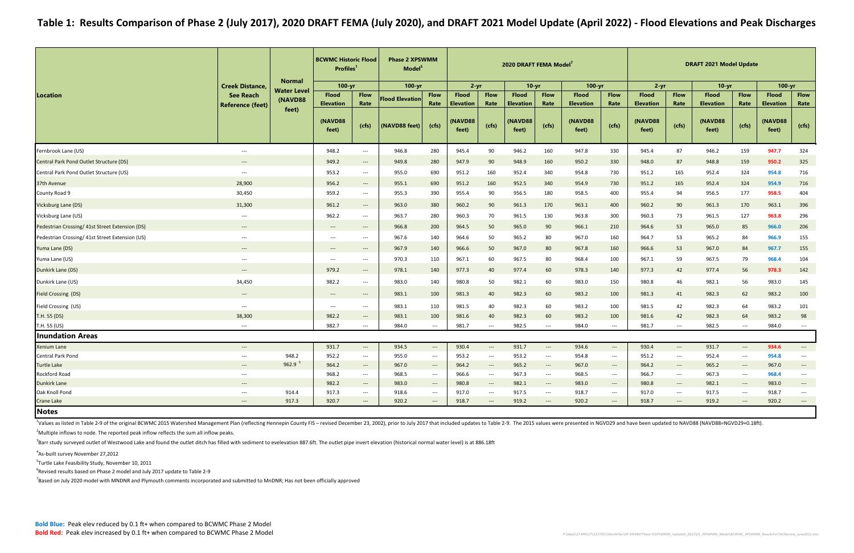|                                                 |                                             |                               | <b>BCWMC Historic Flood</b><br>Profiles <sup>1</sup> |                                          | <b>Phase 2 XPSWMM</b><br>Model <sup>5</sup> |                                   |                                  |                                          | 2020 DRAFT FEMA Model <sup>7</sup> |                                        |                                  | <b>DRAFT 2021 Model Update</b>           |                                  |                                   |                                  |                                          |                                  |                                   |
|-------------------------------------------------|---------------------------------------------|-------------------------------|------------------------------------------------------|------------------------------------------|---------------------------------------------|-----------------------------------|----------------------------------|------------------------------------------|------------------------------------|----------------------------------------|----------------------------------|------------------------------------------|----------------------------------|-----------------------------------|----------------------------------|------------------------------------------|----------------------------------|-----------------------------------|
|                                                 | <b>Creek Distance,</b>                      | <b>Normal</b>                 | $100 - yr$                                           |                                          | $100 - yr$                                  |                                   | $2 - yr$                         |                                          | $10 - vr$                          |                                        | $100 - yr$                       |                                          | $2 - yr$                         |                                   | $10-yr$                          |                                          | $100 - yr$                       |                                   |
| <b>Location</b>                                 | <b>See Reach</b><br><b>Reference (feet)</b> | <b>Water Level</b><br>(NAVD88 | <b>Flood</b><br><b>Elevation</b>                     | <b>Flow</b><br>Rate                      | <b>Flood Elevation</b>                      | <b>Flow</b><br>Rate               | <b>Flood</b><br><b>Elevation</b> | <b>Flow</b><br>Rate                      | <b>Flood</b><br><b>Elevation</b>   | <b>Flow</b><br>Rate                    | <b>Flood</b><br><b>Elevation</b> | <b>Flow</b><br>Rate                      | <b>Flood</b><br><b>Elevation</b> | <b>Flow</b><br>Rate               | <b>Flood</b><br><b>Elevation</b> | <b>Flow</b><br>Rate                      | <b>Flood</b><br><b>Elevation</b> | <b>Flow</b><br>Rate               |
|                                                 |                                             | feet)                         | (NAVD88<br>feet)                                     | (cfs)                                    | (NAVD88 feet)                               | (cfs)                             | (NAVD88<br>feet)                 | (cfs)                                    | (NAVD88<br>feet)                   | (cfs)                                  | (NAVD88<br>feet)                 | (cts)                                    | <b>(NAVD88)</b><br>feet)         | (cfs)                             | (NAVD88<br>feet)                 | (cfs)                                    | <b>(NAVD88)</b><br>feet)         | (cfs)                             |
| Fernbrook Lane (US)                             | $\hspace{0.05cm} \ldots \hspace{0.05cm}$    |                               | 948.2                                                | $\hspace{0.05cm} \ldots \hspace{0.05cm}$ | 946.8                                       | 280                               | 945.4                            | 90                                       | 946.2                              | 160                                    | 947.8                            | 330                                      | 945.4                            | 87                                | 946.2                            | 159                                      | 947.7                            | 324                               |
| Central Park Pond Outlet Structure (DS)         | $\hspace{0.05cm} \cdots$                    |                               | 949.2                                                | $\hspace{0.05cm} \dashrightarrow$        | 949.8                                       | 280                               | 947.9                            | 90                                       | 948.9                              | 160                                    | 950.2                            | 330                                      | 948.0                            | 87                                | 948.8                            | 159                                      | 950.2                            | 325                               |
| Central Park Pond Outlet Structure (US)         | $\hspace{0.05cm} \ldots$                    |                               | 953.2                                                | $\hspace{0.05cm} \ldots \hspace{0.05cm}$ | 955.0                                       | 690                               | 951.2                            | 160                                      | 952.4                              | 340                                    | 954.8                            | 730                                      | 951.2                            | 165                               | 952.4                            | 324                                      | 954.8                            | 716                               |
| 37th Avenue                                     | 28,900                                      |                               | 956.2                                                | $\qquad \qquad - -$                      | 955.1                                       | 690                               | 951.2                            | 160                                      | 952.5                              | 340                                    | 954.9                            | 730                                      | 951.2                            | 165                               | 952.4                            | 324                                      | 954.9                            | 716                               |
| County Road 9                                   | 30,450                                      |                               | 959.2                                                | $\hspace{0.05cm} \ldots \hspace{0.05cm}$ | 955.3                                       | 390                               | 955.4                            | 90                                       | 956.5                              | 180                                    | 958.5                            | 400                                      | 955.4                            | 94                                | 956.5                            | 177                                      | 958.5                            | 404                               |
| <b>Vicksburg Lane (DS)</b>                      | 31,300                                      |                               | 961.2                                                | $\hspace{0.1em} \dashrightarrow$         | 963.0                                       | 380                               | 960.2                            | 90                                       | 961.3                              | 170                                    | 963.1                            | 400                                      | 960.2                            | 90                                | 961.3                            | 170                                      | 963.1                            | 396                               |
| Vicksburg Lane (US)                             | $--$                                        |                               | 962.2                                                | $\hspace{0.05cm} \ldots \hspace{0.05cm}$ | 963.7                                       | 280                               | 960.3                            | 70                                       | 961.5                              | 130                                    | 963.8                            | 300                                      | 960.3                            | 73                                | 961.5                            | 127                                      | 963.8                            | 296                               |
| Pedestrian Crossing/ 41st Street Extension (DS) | $\qquad \qquad \cdots$                      |                               | $\hspace{0.05cm} \cdots$                             | $\qquad \qquad - -$                      | 966.8                                       | 200                               | 964.5                            | 50                                       | 965.0                              | 90                                     | 966.1                            | 210                                      | 964.6                            | 53                                | 965.0                            | 85                                       | 966.0                            | 206                               |
| Pedestrian Crossing/ 41st Street Extension (US) | $\hspace{0.05cm} \ldots \hspace{0.05cm}$    |                               | $---$                                                | $\hspace{0.05cm} \ldots \hspace{0.05cm}$ | 967.6                                       | 140                               | 964.6                            | 50                                       | 965.2                              | 80                                     | 967.0                            | 160                                      | 964.7                            | 53                                | 965.2                            | 84                                       | 966.9                            | 155                               |
| Yuma Lane (DS)                                  | $---$                                       |                               | $---$                                                | $---$                                    | 967.9                                       | 140                               | 966.6                            | 50                                       | 967.0                              | 80                                     | 967.8                            | 160                                      | 966.6                            | 53                                | 967.0                            | 84                                       | 967.7                            | 155                               |
| Yuma Lane (US)                                  | $\hspace{0.05cm} \ldots \hspace{0.05cm}$    |                               | $\hspace{0.05cm} \ldots \hspace{0.05cm}$             | $\hspace{0.05cm} \ldots \hspace{0.05cm}$ | 970.3                                       | 110                               | 967.1                            | 60                                       | 967.5                              | 80                                     | 968.4                            | 100                                      | 967.1                            | 59                                | 967.5                            | 79                                       | 968.4                            | 104                               |
| Dunkirk Lane (DS)                               | $\hspace{0.05cm} \cdots$                    |                               | 979.2                                                | $\hspace{0.05cm} \dashrightarrow$        | 978.1                                       | 140                               | 977.3                            | 40                                       | 977.4                              | 60                                     | 978.3                            | 140                                      | 977.3                            | 42                                | 977.4                            | 56                                       | 978.3                            | 142                               |
| Dunkirk Lane (US)                               | 34,450                                      |                               | 982.2                                                | $\hspace{0.05cm} \ldots \hspace{0.05cm}$ | 983.0                                       | 140                               | 980.8                            | 50                                       | 982.1                              | 60                                     | 983.0                            | 150                                      | 980.8                            | 46                                | 982.1                            | 56                                       | 983.0                            | 145                               |
| Field Crossing (DS)                             | $\hspace{0.1em} \ldots \hspace{0.1em}$      |                               | $---$                                                | $\hspace{0.05cm} \ldots$                 | 983.1                                       | 100                               | 981.3                            | 40                                       | 982.3                              | 60                                     | 983.2                            | 100                                      | 981.3                            | 41                                | 982.3                            | 62                                       | 983.2                            | 100                               |
| Field Crossing (US)                             | $---$                                       |                               | $---$                                                | $\hspace{0.05cm} \ldots \hspace{0.05cm}$ | 983.1                                       | 110                               | 981.5                            | 40                                       | 982.3                              | 60                                     | 983.2                            | 100                                      | 981.5                            | 42                                | 982.3                            | 64                                       | 983.2                            | 101                               |
| T.H. 55 (DS)                                    | 38,300                                      |                               | 982.2                                                | $\hspace{0.05cm} \dashrightarrow$        | 983.1                                       | 100                               | 981.6                            | 40                                       | 982.3                              | 60                                     | 983.2                            | 100                                      | 981.6                            | 42                                | 982.3                            | 64                                       | 983.2                            | 98                                |
| T.H. 55 (US)                                    | $\hspace{0.05cm} \ldots \hspace{0.05cm}$    |                               | 982.7                                                | $\hspace{0.05cm} \ldots \hspace{0.05cm}$ | 984.0                                       | $\hspace{0.05cm} \dashrightarrow$ | 981.7                            | $\hspace{0.05cm} \ldots$                 | 982.5                              | $\hspace{0.05cm} \ldots$               | 984.0                            | $\hspace{0.05cm} \ldots \hspace{0.05cm}$ | 981.7                            | $--$                              | 982.5                            | $\qquad \qquad \cdots$                   | 984.0                            | $\hspace{0.05cm} \cdots$          |
| <b>Inundation Areas</b>                         |                                             |                               |                                                      |                                          |                                             |                                   |                                  |                                          |                                    |                                        |                                  |                                          |                                  |                                   |                                  |                                          |                                  |                                   |
| Xenium Lane                                     | $\hspace{0.05cm} \dashrightarrow$           |                               | 931.7                                                | $\hspace{0.05cm} \dashrightarrow$        | 934.5                                       | $\hspace{0.05cm} \dashrightarrow$ | 930.4                            | $\hspace{0.05cm} \ldots$                 | 931.7                              | $\hspace{0.05cm} \dashrightarrow$      | 934.6                            | $\hspace{0.05cm} \cdots$                 | 930.4                            | $\hspace{0.05cm} \dashrightarrow$ | 931.7                            | ---                                      | 934.6                            | $\hspace{0.05cm} \dashrightarrow$ |
| <b>Central Park Pond</b>                        | $\hspace{0.05cm} \ldots \hspace{0.05cm}$    | 948.2                         | 952.2                                                | $\hspace{0.05cm} \ldots \hspace{0.05cm}$ | 955.0                                       | $\hspace{0.05cm} \dashrightarrow$ | 953.2                            | $\hspace{0.05cm} \ldots$                 | 953.2                              | $\hspace{0.05cm} \ldots$               | 954.8                            | $\hspace{0.05cm} \ldots \hspace{0.05cm}$ | 951.2                            | $\hspace{0.05cm} \ldots$          | 952.4                            | $\qquad \qquad - -$                      | 954.8                            | $\hspace{0.05cm} \dashrightarrow$ |
| <b>Turtle Lake</b>                              | $---$                                       | 962.9 <sup>5</sup>            | 964.2                                                | $---$                                    | 967.0                                       | $\hspace{0.05cm} \cdots$          | 964.2                            | $\hspace{0.05cm} \ldots$                 | 965.2                              | $\hspace{0.1em} \dashrightarrow$       | 967.0                            | $\hspace{0.05cm} \dashrightarrow$        | 964.2                            | $\hspace{0.05cm} \cdots$          | 965.2                            | ---                                      | 967.0                            |                                   |
| Rockford Road                                   | $--$                                        |                               | 968.2                                                | $\hspace{0.05cm} \ldots$                 | 968.5                                       | $\hspace{0.05cm} \dashrightarrow$ | 966.6                            | $\hspace{0.05cm} \ldots \hspace{0.05cm}$ | 967.3                              | $\hspace{0.1em} \ldots \hspace{0.1em}$ | 968.5                            | $\hspace{0.05cm} \dashrightarrow$        | 966.7                            | $\hspace{0.1em} \dashrightarrow$  | 967.3                            | $\hspace{0.05cm} \ldots \hspace{0.05cm}$ | 968.4                            |                                   |
| <b>Dunkirk Lane</b>                             | $---$                                       |                               | 982.2                                                | $---$                                    | 983.0                                       | $---$                             | 980.8                            | $---$                                    | 982.1                              | $\hspace{0.1em} \dashrightarrow$       | 983.0                            | $\hspace{0.05cm} \dashrightarrow$        | 980.8                            | $---$                             | 982.1                            | $---$                                    | 983.0                            | $---$                             |
| Oak Knoll Pond                                  | $\hspace{0.05cm} \dashrightarrow$           | 914.4                         | 917.3                                                | $\hspace{0.05cm} \dashrightarrow$        | 918.6                                       | $\hspace{0.05cm} \dashrightarrow$ | 917.0                            | $\hspace{0.05cm} \ldots \hspace{0.05cm}$ | 917.5                              | $\hspace{0.1em} \ldots \hspace{0.1em}$ | 918.7                            | $\hspace{0.05cm} \ldots \hspace{0.05cm}$ | 917.0                            | $\hspace{0.1em} \dashrightarrow$  | 917.5                            | $\hspace{0.05cm} \ldots \hspace{0.05cm}$ | 918.7                            | $\overline{\phantom{a}}$          |
| Crane Lake                                      | $---$                                       | 917.3                         | 920.7                                                | $---$                                    | 920.2                                       | $\hspace{0.05cm} \dashrightarrow$ | 918.7                            | $---$                                    | 919.2                              | $---$                                  | 920.2                            | $\hspace{0.05cm} \cdots$                 | 918.7                            | $---$                             | 919.2                            | $\hspace{0.05cm} \dashrightarrow$        | 920.2                            | $\hspace{0.05cm} \dashrightarrow$ |
| <b>Notes</b>                                    |                                             |                               |                                                      |                                          |                                             |                                   |                                  |                                          |                                    |                                        |                                  |                                          |                                  |                                   |                                  |                                          |                                  |                                   |

<sup>4</sup>As-built survey November 27,2012

<sup>5</sup>Turtle Lake Feasibility Study, November 10, 2011

 $^6$ Revised results based on Phase 2 model and July 2017 update to Table 2-9

<sup>7</sup>Based on July 2020 model with MNDNR and Plymouth comments incorporated and submitted to MnDNR; Has not been officially approved

Notes

<sup>1</sup>Values as listed in Table 2-9 of the original BCWMC 2015 Watershed Management Plan (reflecting Hennepin County FIS - revised December 23, 2002), prior to July 2017 that included updates to Table 2-9. The 2015 values wer

 $^2$ Multiple inflows to node. The reported peak inflow reflects the sum all inflow peaks.

<sup>3</sup>Barr study surveyed outlet of Westwood Lake and found the outlet ditch has filled with sediment to evelevation 887.6ft. The outlet pipe invert elevation (historical normal water level) is at 886.18ft